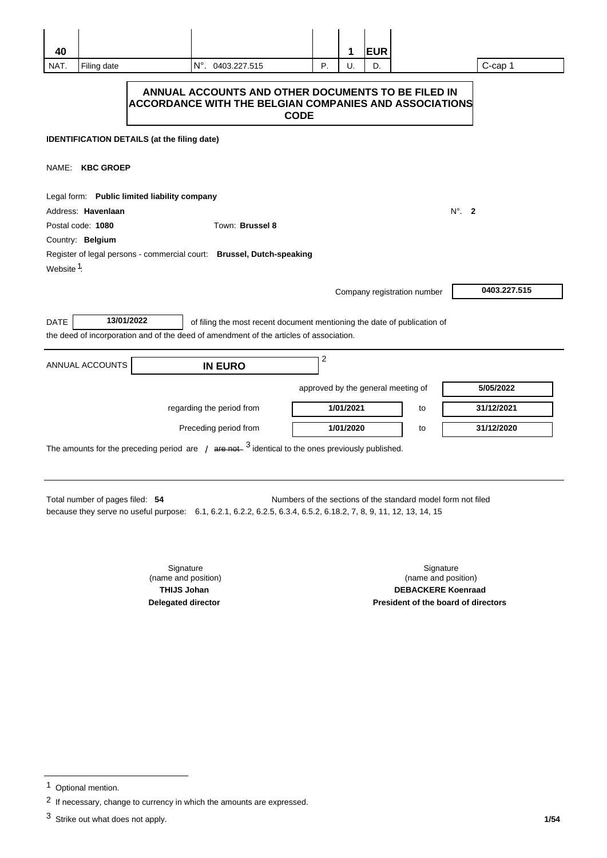| 40                                                                                                                                                                                                                   |                                                                                                                                    |                                              |                                                                                                                                                                    |                                    | 1         | <b>EUR</b> |                             |               |  |
|----------------------------------------------------------------------------------------------------------------------------------------------------------------------------------------------------------------------|------------------------------------------------------------------------------------------------------------------------------------|----------------------------------------------|--------------------------------------------------------------------------------------------------------------------------------------------------------------------|------------------------------------|-----------|------------|-----------------------------|---------------|--|
| NAT.                                                                                                                                                                                                                 | Filing date                                                                                                                        |                                              | N°, 0403.227.515                                                                                                                                                   | P.                                 | U.        | D.         |                             | C-cap 1       |  |
|                                                                                                                                                                                                                      | ANNUAL ACCOUNTS AND OTHER DOCUMENTS TO BE FILED IN<br><b>ACCORDANCE WITH THE BELGIAN COMPANIES AND ASSOCIATIONS</b><br><b>CODE</b> |                                              |                                                                                                                                                                    |                                    |           |            |                             |               |  |
|                                                                                                                                                                                                                      | <b>IDENTIFICATION DETAILS (at the filing date)</b>                                                                                 |                                              |                                                                                                                                                                    |                                    |           |            |                             |               |  |
| NAME: KBC GROEP                                                                                                                                                                                                      |                                                                                                                                    |                                              |                                                                                                                                                                    |                                    |           |            |                             |               |  |
|                                                                                                                                                                                                                      |                                                                                                                                    | Legal form: Public limited liability company |                                                                                                                                                                    |                                    |           |            |                             |               |  |
|                                                                                                                                                                                                                      | Address: Havenlaan                                                                                                                 |                                              |                                                                                                                                                                    |                                    |           |            |                             | $N^\circ$ . 2 |  |
|                                                                                                                                                                                                                      | Postal code: 1080                                                                                                                  |                                              | Town: Brussel 8                                                                                                                                                    |                                    |           |            |                             |               |  |
| Country: Belgium<br>Register of legal persons - commercial court: Brussel, Dutch-speaking<br>Website 1:                                                                                                              |                                                                                                                                    |                                              |                                                                                                                                                                    |                                    |           |            |                             |               |  |
|                                                                                                                                                                                                                      |                                                                                                                                    |                                              |                                                                                                                                                                    |                                    |           |            | Company registration number | 0403.227.515  |  |
| <b>DATE</b>                                                                                                                                                                                                          |                                                                                                                                    | 13/01/2022                                   | of filing the most recent document mentioning the date of publication of<br>the deed of incorporation and of the deed of amendment of the articles of association. |                                    |           |            |                             |               |  |
|                                                                                                                                                                                                                      | ANNUAL ACCOUNTS                                                                                                                    |                                              | <b>IN EURO</b>                                                                                                                                                     | 2                                  |           |            |                             |               |  |
|                                                                                                                                                                                                                      |                                                                                                                                    |                                              |                                                                                                                                                                    | approved by the general meeting of |           |            |                             | 5/05/2022     |  |
|                                                                                                                                                                                                                      |                                                                                                                                    |                                              | regarding the period from                                                                                                                                          |                                    | 1/01/2021 |            | to                          | 31/12/2021    |  |
|                                                                                                                                                                                                                      |                                                                                                                                    |                                              | Preceding period from                                                                                                                                              |                                    | 1/01/2020 |            | to                          | 31/12/2020    |  |
| The amounts for the preceding period are $\frac{1}{4}$ are not $\frac{3}{4}$ identical to the ones previously published.                                                                                             |                                                                                                                                    |                                              |                                                                                                                                                                    |                                    |           |            |                             |               |  |
| Total number of pages filed: 54<br>Numbers of the sections of the standard model form not filed<br>because they serve no useful purpose: 6.1, 6.2.1, 6.2.2, 6.2.5, 6.3.4, 6.5.2, 6.18.2, 7, 8, 9, 11, 12, 13, 14, 15 |                                                                                                                                    |                                              |                                                                                                                                                                    |                                    |           |            |                             |               |  |
|                                                                                                                                                                                                                      |                                                                                                                                    | Signature                                    |                                                                                                                                                                    |                                    |           |            | Signature                   |               |  |

(name and position) **THIJS Johan Delegated director** 

(name and position) **DEBACKERE Koenraad President of the board of directors** 

<sup>&</sup>lt;sup>1</sup> Optional mention.

 $2$  If necessary, change to currency in which the amounts are expressed.

<sup>3</sup> Strike out what does not apply.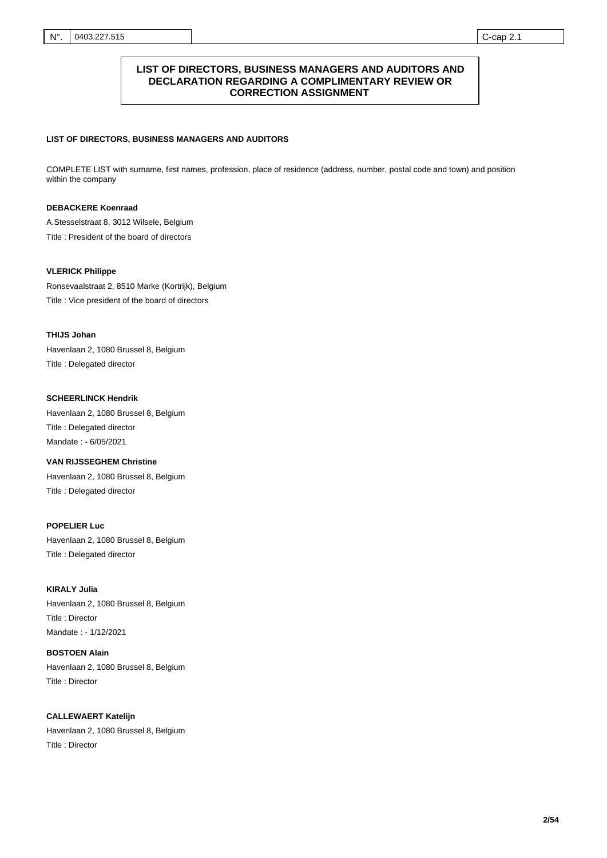### **LIST OF DIRECTORS, BUSINESS MANAGERS AND AUDITORS AND DECLARATION REGARDING A COMPLIMENTARY REVIEW OR CORRECTION ASSIGNMENT**

### **LIST OF DIRECTORS, BUSINESS MANAGERS AND AUDITORS**

COMPLETE LIST with surname, first names, profession, place of residence (address, number, postal code and town) and position within the company

### **DEBACKERE Koenraad**

Title : President of the board of directors A.Stesselstraat 8, 3012 Wilsele, Belgium

#### **VLERICK Philippe**

Title : Vice president of the board of directors Ronsevaalstraat 2, 8510 Marke (Kortrijk), Belgium

### **THIJS Johan**

Title : Delegated director Havenlaan 2, 1080 Brussel 8, Belgium

### **SCHEERLINCK Hendrik**

Title : Delegated director Mandate : - 6/05/2021 Havenlaan 2, 1080 Brussel 8, Belgium

## **VAN RIJSSEGHEM Christine**

Title : Delegated director Havenlaan 2, 1080 Brussel 8, Belgium

### **POPELIER Luc**

Title : Delegated director Havenlaan 2, 1080 Brussel 8, Belgium

# **KIRALY Julia**  Title : Director Havenlaan 2, 1080 Brussel 8, Belgium

Mandate : - 1/12/2021 **BOSTOEN Alain** 

Title : Director Havenlaan 2, 1080 Brussel 8, Belgium

**CALLEWAERT Katelijn**  Title : Director Havenlaan 2, 1080 Brussel 8, Belgium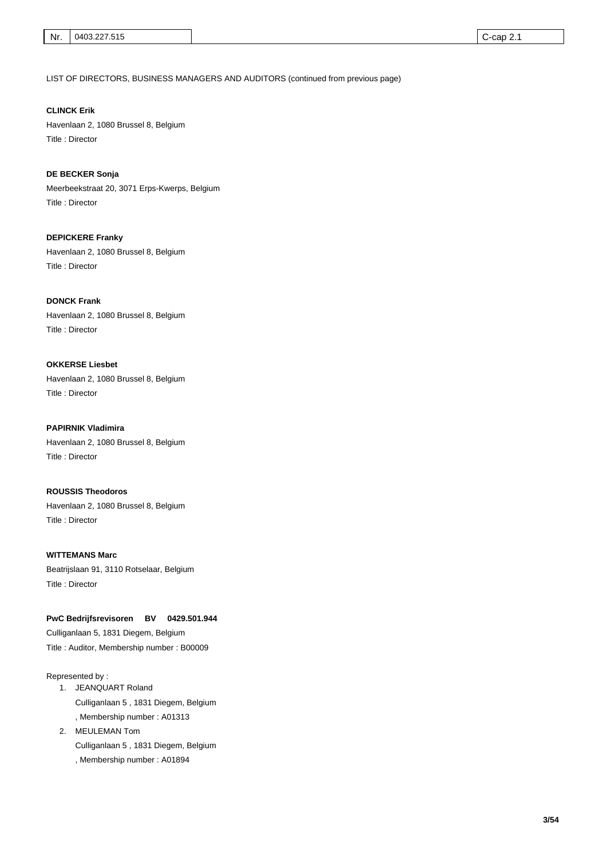LIST OF DIRECTORS, BUSINESS MANAGERS AND AUDITORS (continued from previous page)

**CLINCK Erik**  Title : Director Havenlaan 2, 1080 Brussel 8, Belgium

**DE BECKER Sonja**  Title : Director Meerbeekstraat 20, 3071 Erps-Kwerps, Belgium

**DEPICKERE Franky**  Title : Director Havenlaan 2, 1080 Brussel 8, Belgium

**DONCK Frank**  Title : Director Havenlaan 2, 1080 Brussel 8, Belgium

**OKKERSE Liesbet**  Title : Director Havenlaan 2, 1080 Brussel 8, Belgium

**PAPIRNIK Vladimira**  Title : Director Havenlaan 2, 1080 Brussel 8, Belgium

**ROUSSIS Theodoros**  Title : Director Havenlaan 2, 1080 Brussel 8, Belgium

**WITTEMANS Marc**  Title : Director Beatrijslaan 91, 3110 Rotselaar, Belgium

**PwC Bedrijfsrevisoren BV 0429.501.944**

Title : Auditor, Membership number : B00009 Culliganlaan 5, 1831 Diegem, Belgium

Represented by :

- 1. JEANQUART Roland , Membership number : A01313 Culliganlaan 5 , 1831 Diegem, Belgium
- 2. MEULEMAN Tom , Membership number : A01894 Culliganlaan 5 , 1831 Diegem, Belgium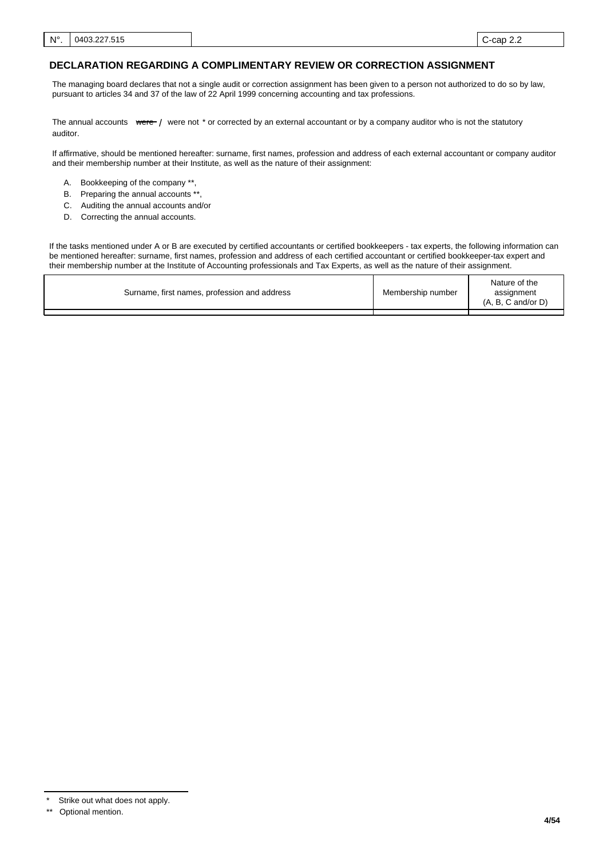### **DECLARATION REGARDING A COMPLIMENTARY REVIEW OR CORRECTION ASSIGNMENT**

The managing board declares that not a single audit or correction assignment has been given to a person not authorized to do so by law, pursuant to articles 34 and 37 of the law of 22 April 1999 concerning accounting and tax professions.

The annual accounts were / were not \* or corrected by an external accountant or by a company auditor who is not the statutory auditor.

If affirmative, should be mentioned hereafter: surname, first names, profession and address of each external accountant or company auditor and their membership number at their Institute, as well as the nature of their assignment:

- A. Bookkeeping of the company \*\*,
- B. Preparing the annual accounts \*\*
- C. Auditing the annual accounts and/or
- D. Correcting the annual accounts.

If the tasks mentioned under A or B are executed by certified accountants or certified bookkeepers - tax experts, the following information can be mentioned hereafter: surname, first names, profession and address of each certified accountant or certified bookkeeper-tax expert and their membership number at the Institute of Accounting professionals and Tax Experts, as well as the nature of their assignment.

| Surname, first names, profession and address | Membership number | Nature of the<br>assignment<br>$(A, B, C \text{ and/or } D)$ |
|----------------------------------------------|-------------------|--------------------------------------------------------------|
|                                              |                   |                                                              |
|                                              |                   |                                                              |

Strike out what does not apply.

<sup>\*\*</sup> Optional mention.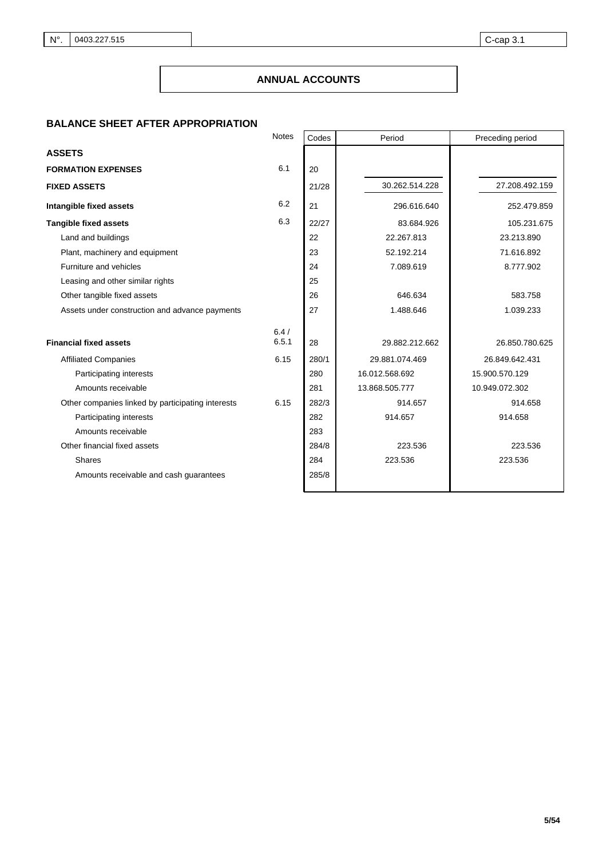# **ANNUAL ACCOUNTS**

## **BALANCE SHEET AFTER APPROPRIATION**

|                                                   | <b>Notes</b>  | Codes | Period         | Preceding period |  |
|---------------------------------------------------|---------------|-------|----------------|------------------|--|
| <b>ASSETS</b>                                     |               |       |                |                  |  |
| <b>FORMATION EXPENSES</b>                         | 6.1           | 20    |                |                  |  |
| <b>FIXED ASSETS</b>                               |               | 21/28 | 30.262.514.228 | 27.208.492.159   |  |
| Intangible fixed assets                           | 6.2           | 21    | 296.616.640    | 252.479.859      |  |
| <b>Tangible fixed assets</b>                      | 6.3           | 22/27 | 83.684.926     | 105.231.675      |  |
| Land and buildings                                |               | 22    | 22.267.813     | 23.213.890       |  |
| Plant, machinery and equipment                    |               | 23    | 52.192.214     | 71.616.892       |  |
| Furniture and vehicles                            |               | 24    | 7.089.619      | 8.777.902        |  |
| Leasing and other similar rights                  |               | 25    |                |                  |  |
| Other tangible fixed assets                       |               | 26    | 646.634        | 583.758          |  |
| Assets under construction and advance payments    |               | 27    | 1.488.646      | 1.039.233        |  |
|                                                   |               |       |                |                  |  |
| <b>Financial fixed assets</b>                     | 6.4/<br>6.5.1 | 28    | 29.882.212.662 | 26.850.780.625   |  |
| <b>Affiliated Companies</b>                       | 6.15          | 280/1 | 29.881.074.469 | 26.849.642.431   |  |
| Participating interests                           |               | 280   | 16.012.568.692 | 15.900.570.129   |  |
| Amounts receivable                                |               | 281   | 13.868.505.777 | 10.949.072.302   |  |
| Other companies linked by participating interests | 6.15          | 282/3 | 914.657        | 914.658          |  |
| Participating interests                           |               | 282   | 914.657        | 914.658          |  |
| Amounts receivable                                |               | 283   |                |                  |  |
| Other financial fixed assets                      |               | 284/8 | 223.536        | 223.536          |  |
| Shares                                            |               | 284   | 223.536        | 223.536          |  |
| Amounts receivable and cash guarantees            |               | 285/8 |                |                  |  |
|                                                   |               |       |                |                  |  |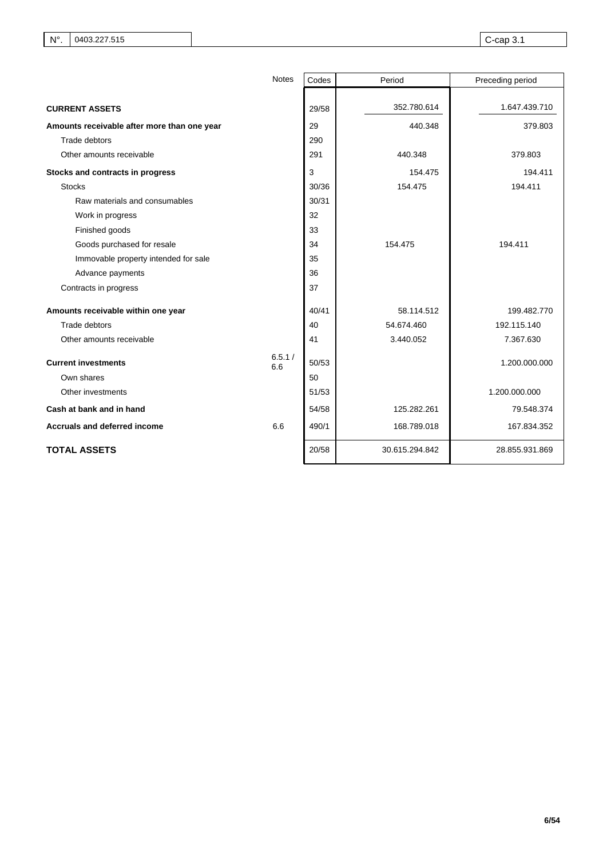|                                             | <b>Notes</b>  | Codes | Period         | Preceding period |
|---------------------------------------------|---------------|-------|----------------|------------------|
|                                             |               |       |                |                  |
| <b>CURRENT ASSETS</b>                       |               | 29/58 | 352.780.614    | 1.647.439.710    |
| Amounts receivable after more than one year |               | 29    | 440.348        | 379.803          |
| Trade debtors                               |               | 290   |                |                  |
| Other amounts receivable                    |               | 291   | 440.348        | 379.803          |
| Stocks and contracts in progress            |               | 3     | 154.475        | 194.411          |
| <b>Stocks</b>                               |               | 30/36 | 154.475        | 194.411          |
| Raw materials and consumables               |               | 30/31 |                |                  |
| Work in progress                            |               | 32    |                |                  |
| Finished goods                              |               | 33    |                |                  |
| Goods purchased for resale                  |               | 34    | 154.475        | 194.411          |
| Immovable property intended for sale        |               | 35    |                |                  |
| Advance payments                            |               | 36    |                |                  |
| Contracts in progress                       |               | 37    |                |                  |
| Amounts receivable within one year          |               | 40/41 | 58.114.512     | 199.482.770      |
| Trade debtors                               |               | 40    | 54.674.460     | 192.115.140      |
| Other amounts receivable                    |               | 41    | 3.440.052      | 7.367.630        |
| <b>Current investments</b>                  | 6.5.1/<br>6.6 | 50/53 |                | 1.200.000.000    |
| Own shares                                  |               | 50    |                |                  |
| Other investments                           |               | 51/53 |                | 1.200.000.000    |
| Cash at bank and in hand                    |               | 54/58 | 125.282.261    | 79.548.374       |
| <b>Accruals and deferred income</b>         | 6.6           | 490/1 | 168.789.018    | 167.834.352      |
| <b>TOTAL ASSETS</b>                         |               | 20/58 | 30.615.294.842 | 28.855.931.869   |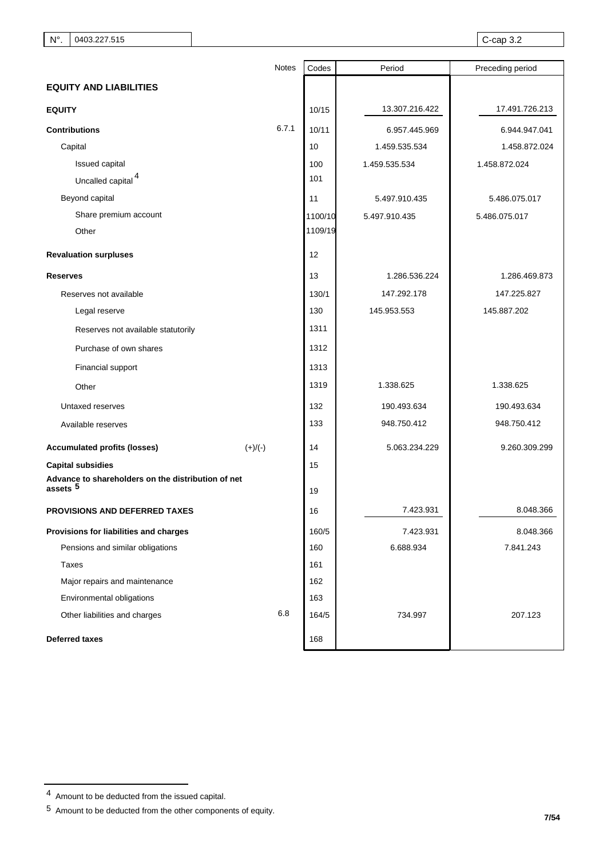|                                                                           |           | <b>Notes</b><br>Codes | Period         | Preceding period |  |
|---------------------------------------------------------------------------|-----------|-----------------------|----------------|------------------|--|
| <b>EQUITY AND LIABILITIES</b>                                             |           |                       |                |                  |  |
| <b>EQUITY</b>                                                             |           | 10/15                 | 13.307.216.422 | 17.491.726.213   |  |
| <b>Contributions</b>                                                      | 6.7.1     | 10/11                 | 6.957.445.969  | 6.944.947.041    |  |
| Capital                                                                   |           | 10                    | 1.459.535.534  | 1.458.872.024    |  |
| Issued capital                                                            |           | 100                   | 1.459.535.534  | 1.458.872.024    |  |
| Uncalled capital <sup>4</sup>                                             |           | 101                   |                |                  |  |
| Beyond capital                                                            |           | 11                    | 5.497.910.435  | 5.486.075.017    |  |
| Share premium account                                                     |           | 1100/10               | 5.497.910.435  | 5.486.075.017    |  |
| Other                                                                     |           | 1109/19               |                |                  |  |
| <b>Revaluation surpluses</b>                                              |           | 12                    |                |                  |  |
| <b>Reserves</b>                                                           |           | 13                    | 1.286.536.224  | 1.286.469.873    |  |
| Reserves not available                                                    |           | 130/1                 | 147.292.178    | 147.225.827      |  |
| Legal reserve                                                             |           | 130                   | 145.953.553    | 145.887.202      |  |
| Reserves not available statutorily                                        |           | 1311                  |                |                  |  |
| Purchase of own shares                                                    |           | 1312                  |                |                  |  |
| Financial support                                                         |           | 1313                  |                |                  |  |
| Other                                                                     |           | 1319                  | 1.338.625      | 1.338.625        |  |
| Untaxed reserves                                                          |           | 132                   | 190.493.634    | 190.493.634      |  |
| Available reserves                                                        |           | 133                   | 948.750.412    | 948.750.412      |  |
| <b>Accumulated profits (losses)</b>                                       | $(+)/(-)$ | 14                    | 5.063.234.229  | 9.260.309.299    |  |
| <b>Capital subsidies</b>                                                  |           | 15                    |                |                  |  |
| Advance to shareholders on the distribution of net<br>assets <sup>5</sup> |           | 19                    |                |                  |  |
| PROVISIONS AND DEFERRED TAXES                                             |           | 16                    | 7.423.931      | 8.048.366        |  |
| Provisions for liabilities and charges                                    |           | 160/5                 | 7.423.931      | 8.048.366        |  |
| Pensions and similar obligations                                          |           | 160                   | 6.688.934      | 7.841.243        |  |
| <b>Taxes</b>                                                              |           | 161                   |                |                  |  |
| Major repairs and maintenance                                             |           | 162                   |                |                  |  |
| Environmental obligations                                                 |           | 163                   |                |                  |  |
| Other liabilities and charges                                             | 6.8       | 164/5                 | 734.997        | 207.123          |  |
| <b>Deferred taxes</b>                                                     |           | 168                   |                |                  |  |

 $4$  Amount to be deducted from the issued capital.

 $5$  Amount to be deducted from the other components of equity.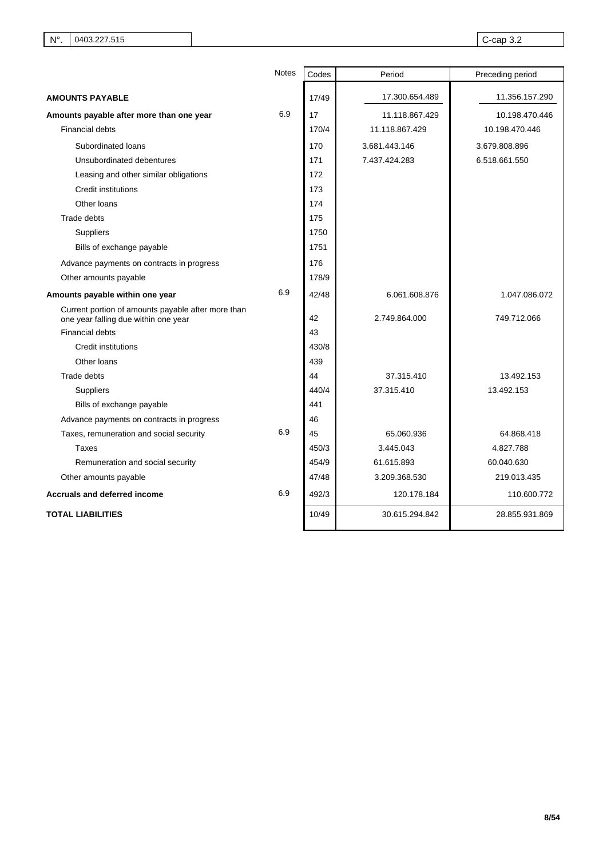|                                                                                            | <b>Notes</b> | Codes | Period         | Preceding period |
|--------------------------------------------------------------------------------------------|--------------|-------|----------------|------------------|
| <b>AMOUNTS PAYABLE</b>                                                                     |              | 17/49 | 17.300.654.489 | 11.356.157.290   |
| Amounts payable after more than one year                                                   | 6.9          | 17    | 11.118.867.429 | 10.198.470.446   |
| <b>Financial debts</b>                                                                     |              | 170/4 | 11.118.867.429 | 10.198.470.446   |
| Subordinated loans                                                                         |              | 170   | 3.681.443.146  | 3.679.808.896    |
| Unsubordinated debentures                                                                  |              | 171   | 7.437.424.283  | 6.518.661.550    |
| Leasing and other similar obligations                                                      |              | 172   |                |                  |
| Credit institutions                                                                        |              | 173   |                |                  |
| Other loans                                                                                |              | 174   |                |                  |
| Trade debts                                                                                |              | 175   |                |                  |
| Suppliers                                                                                  |              | 1750  |                |                  |
| Bills of exchange payable                                                                  |              | 1751  |                |                  |
| Advance payments on contracts in progress                                                  |              | 176   |                |                  |
| Other amounts payable                                                                      |              | 178/9 |                |                  |
| Amounts payable within one year                                                            | 6.9          | 42/48 | 6.061.608.876  | 1.047.086.072    |
| Current portion of amounts payable after more than<br>one year falling due within one year |              | 42    | 2.749.864.000  | 749.712.066      |
| <b>Financial debts</b>                                                                     |              | 43    |                |                  |
| <b>Credit institutions</b>                                                                 |              | 430/8 |                |                  |
| Other loans                                                                                |              | 439   |                |                  |
| Trade debts                                                                                |              | 44    | 37.315.410     | 13.492.153       |
| Suppliers                                                                                  |              | 440/4 | 37.315.410     | 13.492.153       |
| Bills of exchange payable                                                                  |              | 441   |                |                  |
| Advance payments on contracts in progress                                                  |              | 46    |                |                  |
| Taxes, remuneration and social security                                                    | 6.9          | 45    | 65.060.936     | 64.868.418       |
| Taxes                                                                                      |              | 450/3 | 3.445.043      | 4.827.788        |
| Remuneration and social security                                                           |              | 454/9 | 61.615.893     | 60.040.630       |
| Other amounts payable                                                                      |              | 47/48 | 3.209.368.530  | 219.013.435      |
| <b>Accruals and deferred income</b>                                                        | 6.9          | 492/3 | 120.178.184    | 110.600.772      |
| <b>TOTAL LIABILITIES</b>                                                                   |              | 10/49 | 30.615.294.842 | 28.855.931.869   |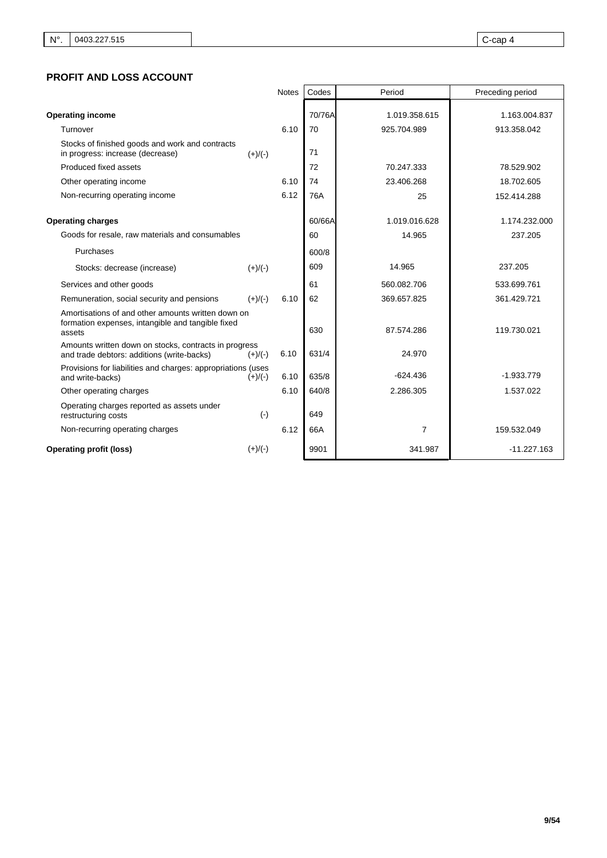# **PROFIT AND LOSS ACCOUNT**

|                                                                                                                   |           | <b>Notes</b> | Codes        | Period                  | Preceding period         |
|-------------------------------------------------------------------------------------------------------------------|-----------|--------------|--------------|-------------------------|--------------------------|
| <b>Operating income</b>                                                                                           |           |              | 70/76A       | 1.019.358.615           | 1.163.004.837            |
| Turnover                                                                                                          |           | 6.10         | 70           | 925.704.989             | 913.358.042              |
| Stocks of finished goods and work and contracts<br>in progress: increase (decrease)                               | $(+)/(-)$ |              | 71           |                         |                          |
| Produced fixed assets                                                                                             |           |              | 72           | 70.247.333              | 78.529.902               |
| Other operating income                                                                                            |           | 6.10         | 74           | 23.406.268              | 18.702.605               |
| Non-recurring operating income                                                                                    |           | 6.12         | 76A          | 25                      | 152.414.288              |
| <b>Operating charges</b><br>Goods for resale, raw materials and consumables                                       |           |              | 60/66A<br>60 | 1.019.016.628<br>14.965 | 1.174.232.000<br>237.205 |
| Purchases                                                                                                         |           |              | 600/8        |                         |                          |
| Stocks: decrease (increase)                                                                                       | $(+)/(-)$ |              | 609          | 14.965                  | 237.205                  |
| Services and other goods                                                                                          |           |              | 61           | 560.082.706             | 533.699.761              |
| Remuneration, social security and pensions                                                                        | $(+)/(-)$ | 6.10         | 62           | 369.657.825             | 361.429.721              |
| Amortisations of and other amounts written down on<br>formation expenses, intangible and tangible fixed<br>assets |           |              | 630          | 87.574.286              | 119.730.021              |
| Amounts written down on stocks, contracts in progress<br>and trade debtors: additions (write-backs)               | $(+)/(-)$ | 6.10         | 631/4        | 24.970                  |                          |
| Provisions for liabilities and charges: appropriations (uses<br>and write-backs)                                  | $(+)/(-)$ | 6.10         | 635/8        | $-624.436$              | $-1.933.779$             |
| Other operating charges                                                                                           |           | 6.10         | 640/8        | 2.286.305               | 1.537.022                |
| Operating charges reported as assets under<br>restructuring costs                                                 | $(\cdot)$ |              | 649          |                         |                          |
| Non-recurring operating charges                                                                                   |           | 6.12         | 66A          | $\overline{7}$          | 159.532.049              |
| <b>Operating profit (loss)</b>                                                                                    | $(+)/(-)$ |              | 9901         | 341.987                 | $-11.227.163$            |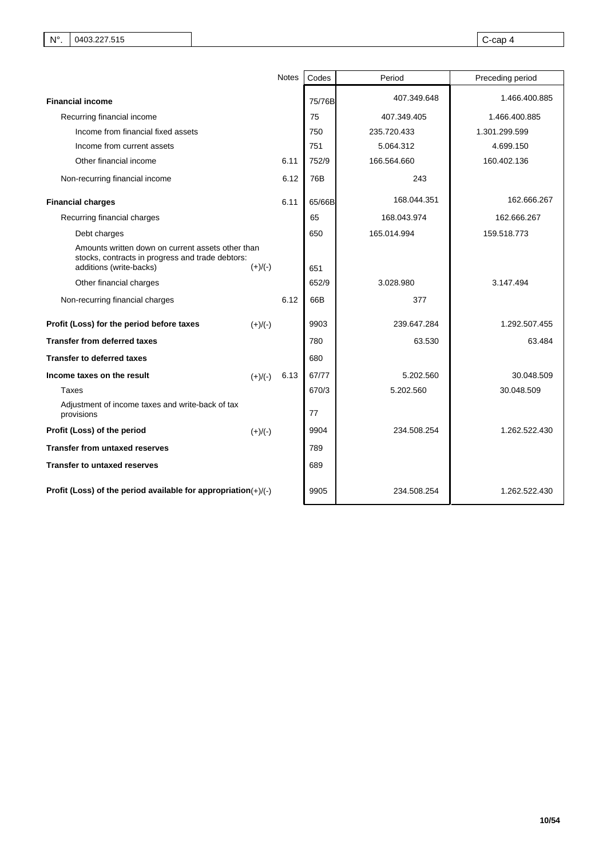|                                                                                                                                  |           | Notes | Codes  | Period      | Preceding period |
|----------------------------------------------------------------------------------------------------------------------------------|-----------|-------|--------|-------------|------------------|
| <b>Financial income</b>                                                                                                          |           |       | 75/76B | 407.349.648 | 1.466.400.885    |
| Recurring financial income                                                                                                       |           |       | 75     | 407.349.405 | 1.466.400.885    |
| Income from financial fixed assets                                                                                               |           |       | 750    | 235.720.433 | 1.301.299.599    |
| Income from current assets                                                                                                       |           |       | 751    | 5.064.312   | 4.699.150        |
| Other financial income                                                                                                           |           | 6.11  | 752/9  | 166.564.660 | 160.402.136      |
| Non-recurring financial income                                                                                                   |           | 6.12  | 76B    | 243         |                  |
| <b>Financial charges</b>                                                                                                         |           | 6.11  | 65/66B | 168.044.351 | 162.666.267      |
| Recurring financial charges                                                                                                      |           |       | 65     | 168.043.974 | 162.666.267      |
| Debt charges                                                                                                                     |           |       | 650    | 165.014.994 | 159.518.773      |
| Amounts written down on current assets other than<br>stocks, contracts in progress and trade debtors:<br>additions (write-backs) | $(+)/(-)$ |       | 651    |             |                  |
| Other financial charges                                                                                                          |           |       | 652/9  | 3.028.980   | 3.147.494        |
| Non-recurring financial charges                                                                                                  |           | 6.12  | 66B    | 377         |                  |
| Profit (Loss) for the period before taxes                                                                                        | $(+)/(-)$ |       | 9903   | 239.647.284 | 1.292.507.455    |
| <b>Transfer from deferred taxes</b>                                                                                              |           |       | 780    | 63.530      | 63.484           |
| <b>Transfer to deferred taxes</b>                                                                                                |           |       | 680    |             |                  |
| Income taxes on the result                                                                                                       | $(+)/(-)$ | 6.13  | 67/77  | 5.202.560   | 30.048.509       |
| Taxes                                                                                                                            |           |       | 670/3  | 5.202.560   | 30.048.509       |
| Adjustment of income taxes and write-back of tax<br>provisions                                                                   |           |       | 77     |             |                  |
| Profit (Loss) of the period                                                                                                      | $(+)/(-)$ |       | 9904   | 234.508.254 | 1.262.522.430    |
| Transfer from untaxed reserves                                                                                                   |           |       | 789    |             |                  |
| <b>Transfer to untaxed reserves</b>                                                                                              |           |       | 689    |             |                  |
| Profit (Loss) of the period available for appropriation $(+)/(-)$                                                                |           |       | 9905   | 234.508.254 | 1.262.522.430    |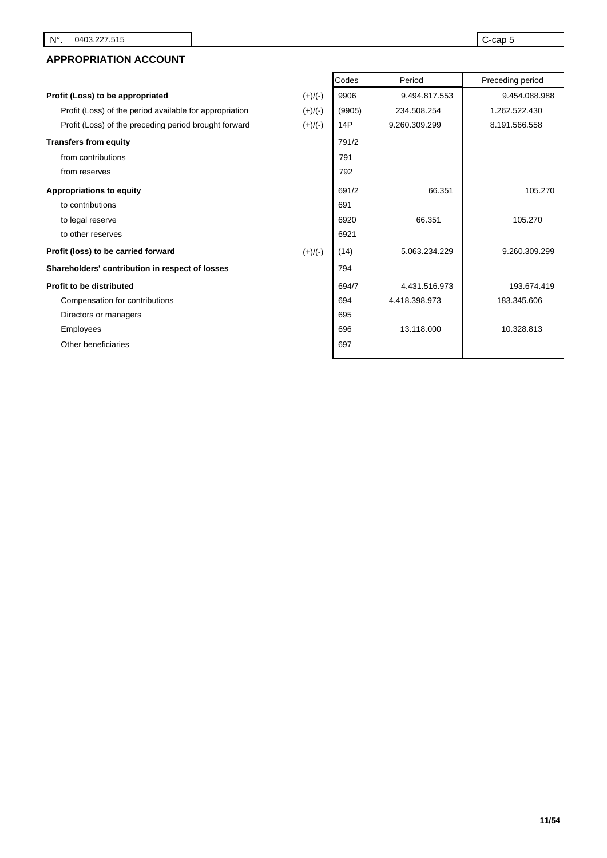# **APPROPRIATION ACCOUNT**

|                                                         |           | Codes  | Period        | Preceding period |
|---------------------------------------------------------|-----------|--------|---------------|------------------|
| Profit (Loss) to be appropriated                        | $(+)/(-)$ | 9906   | 9.494.817.553 | 9.454.088.988    |
| Profit (Loss) of the period available for appropriation | $(+)/(-)$ | (9905) | 234.508.254   | 1.262.522.430    |
| Profit (Loss) of the preceding period brought forward   | $(+)/(-)$ | 14P    | 9.260.309.299 | 8.191.566.558    |
| <b>Transfers from equity</b>                            |           | 791/2  |               |                  |
| from contributions                                      |           | 791    |               |                  |
| from reserves                                           |           | 792    |               |                  |
| <b>Appropriations to equity</b>                         |           | 691/2  | 66.351        | 105.270          |
| to contributions                                        |           | 691    |               |                  |
| to legal reserve                                        |           | 6920   | 66.351        | 105.270          |
| to other reserves                                       |           | 6921   |               |                  |
| Profit (loss) to be carried forward                     | $(+)/(-)$ | (14)   | 5.063.234.229 | 9.260.309.299    |
| Shareholders' contribution in respect of losses         |           | 794    |               |                  |
| <b>Profit to be distributed</b>                         |           | 694/7  | 4.431.516.973 | 193.674.419      |
| Compensation for contributions                          |           | 694    | 4.418.398.973 | 183.345.606      |
| Directors or managers                                   |           | 695    |               |                  |
| <b>Employees</b>                                        |           | 696    | 13.118.000    | 10.328.813       |
| Other beneficiaries                                     |           | 697    |               |                  |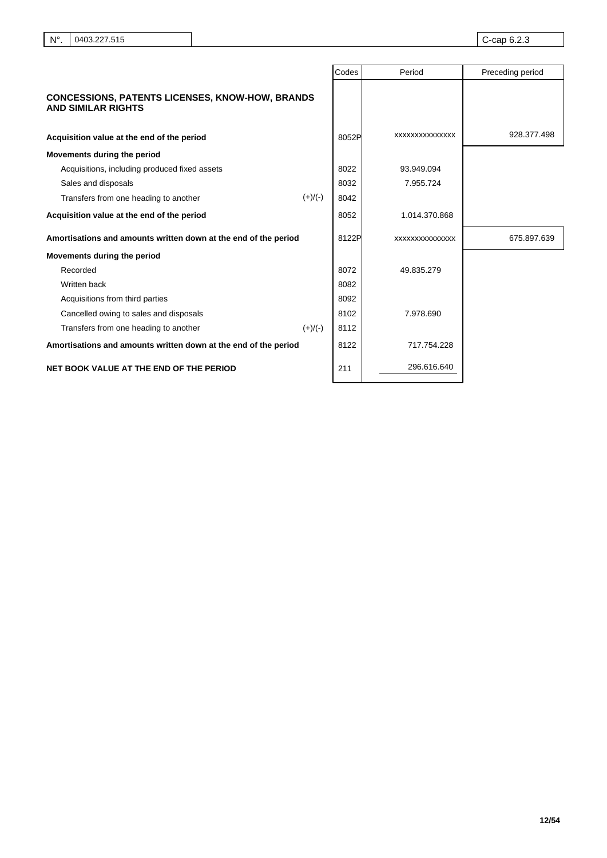|                                                                                     | Codes | Period                | Preceding period |
|-------------------------------------------------------------------------------------|-------|-----------------------|------------------|
| <b>CONCESSIONS, PATENTS LICENSES, KNOW-HOW, BRANDS</b><br><b>AND SIMILAR RIGHTS</b> |       |                       |                  |
| Acquisition value at the end of the period                                          | 8052P | <b>XXXXXXXXXXXXXX</b> | 928.377.498      |
| Movements during the period                                                         |       |                       |                  |
| Acquisitions, including produced fixed assets                                       | 8022  | 93.949.094            |                  |
| Sales and disposals                                                                 | 8032  | 7.955.724             |                  |
| $(+)/(-)$<br>Transfers from one heading to another                                  | 8042  |                       |                  |
| Acquisition value at the end of the period                                          | 8052  | 1.014.370.868         |                  |
| Amortisations and amounts written down at the end of the period                     | 8122P | XXXXXXXXXXXXXX        | 675.897.639      |
| Movements during the period                                                         |       |                       |                  |
| Recorded                                                                            | 8072  | 49.835.279            |                  |
| Written back                                                                        | 8082  |                       |                  |
| Acquisitions from third parties                                                     | 8092  |                       |                  |
| Cancelled owing to sales and disposals                                              | 8102  | 7.978.690             |                  |
| Transfers from one heading to another<br>$(+)/(-)$                                  | 8112  |                       |                  |
| Amortisations and amounts written down at the end of the period                     | 8122  | 717.754.228           |                  |
| NET BOOK VALUE AT THE END OF THE PERIOD                                             | 211   | 296.616.640           |                  |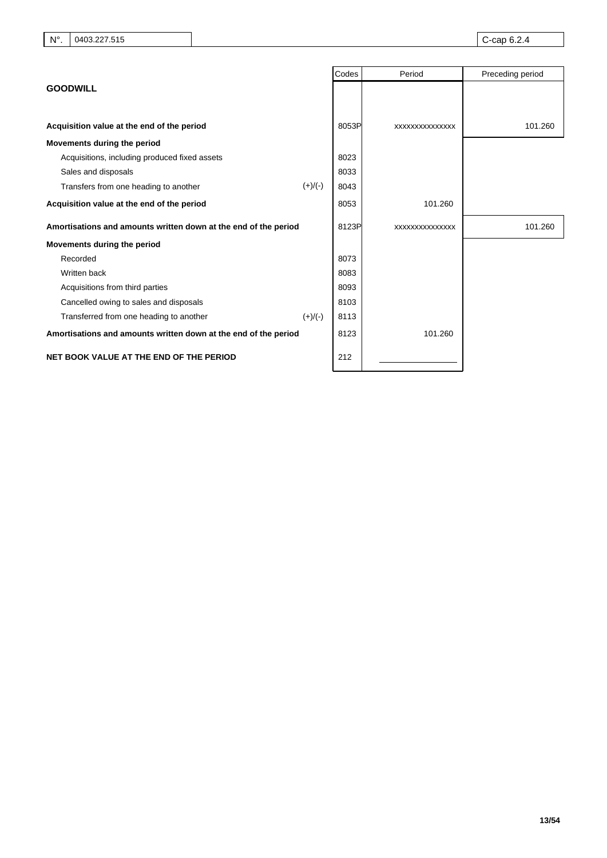|                                                                 | Codes | Period         | Preceding period |
|-----------------------------------------------------------------|-------|----------------|------------------|
| <b>GOODWILL</b>                                                 |       |                |                  |
|                                                                 |       |                |                  |
| Acquisition value at the end of the period                      | 8053P | XXXXXXXXXXXXXX | 101.260          |
| Movements during the period                                     |       |                |                  |
| Acquisitions, including produced fixed assets                   | 8023  |                |                  |
| Sales and disposals                                             | 8033  |                |                  |
| $(+)/(-)$<br>Transfers from one heading to another              | 8043  |                |                  |
| Acquisition value at the end of the period                      | 8053  | 101.260        |                  |
| Amortisations and amounts written down at the end of the period | 8123P | XXXXXXXXXXXXXX | 101.260          |
| Movements during the period                                     |       |                |                  |
| Recorded                                                        | 8073  |                |                  |
| Written back                                                    | 8083  |                |                  |
| Acquisitions from third parties                                 | 8093  |                |                  |
| Cancelled owing to sales and disposals                          | 8103  |                |                  |
| Transferred from one heading to another<br>$(+)/(-)$            | 8113  |                |                  |
| Amortisations and amounts written down at the end of the period | 8123  | 101.260        |                  |
| NET BOOK VALUE AT THE END OF THE PERIOD                         | 212   |                |                  |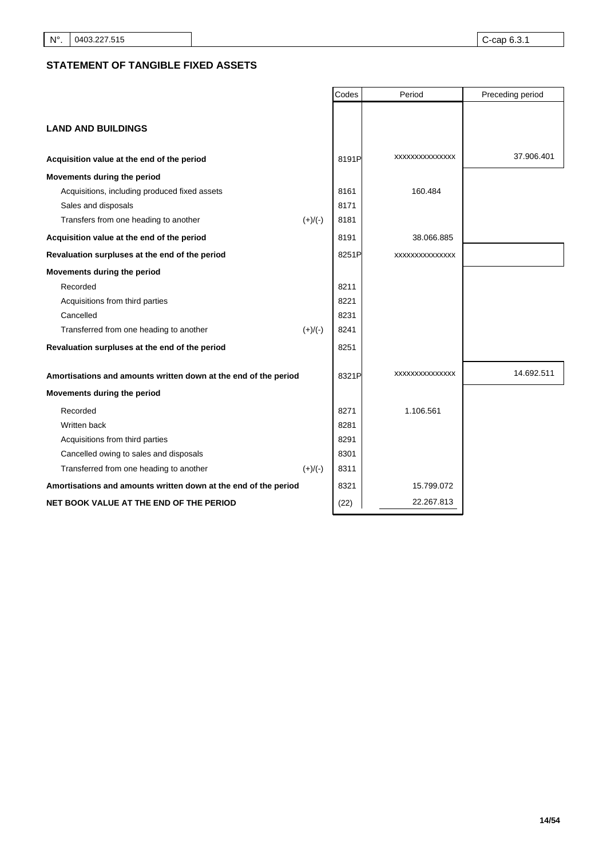# **STATEMENT OF TANGIBLE FIXED ASSETS**

|                                                                 |           | Codes | Period          | Preceding period |
|-----------------------------------------------------------------|-----------|-------|-----------------|------------------|
|                                                                 |           |       |                 |                  |
| <b>LAND AND BUILDINGS</b>                                       |           |       |                 |                  |
| Acquisition value at the end of the period                      |           | 8191P | XXXXXXXXXXXXXX  | 37.906.401       |
| Movements during the period                                     |           |       |                 |                  |
| Acquisitions, including produced fixed assets                   |           | 8161  | 160.484         |                  |
| Sales and disposals                                             |           | 8171  |                 |                  |
| Transfers from one heading to another                           | $(+)/(-)$ | 8181  |                 |                  |
| Acquisition value at the end of the period                      |           | 8191  | 38.066.885      |                  |
| Revaluation surpluses at the end of the period                  |           | 8251P | XXXXXXXXXXXXXX  |                  |
| Movements during the period                                     |           |       |                 |                  |
| Recorded                                                        |           | 8211  |                 |                  |
| Acquisitions from third parties                                 |           | 8221  |                 |                  |
| Cancelled                                                       |           | 8231  |                 |                  |
| Transferred from one heading to another                         | $(+)/(-)$ | 8241  |                 |                  |
| Revaluation surpluses at the end of the period                  |           | 8251  |                 |                  |
| Amortisations and amounts written down at the end of the period |           | 8321P | XXXXXXXXXXXXXXX | 14.692.511       |
| Movements during the period                                     |           |       |                 |                  |
| Recorded                                                        |           | 8271  | 1.106.561       |                  |
| Written back                                                    |           | 8281  |                 |                  |
| Acquisitions from third parties                                 |           | 8291  |                 |                  |
| Cancelled owing to sales and disposals                          |           | 8301  |                 |                  |
| Transferred from one heading to another                         | $(+)/(-)$ | 8311  |                 |                  |
| Amortisations and amounts written down at the end of the period |           | 8321  | 15.799.072      |                  |
| NET BOOK VALUE AT THE END OF THE PERIOD                         |           | (22)  | 22.267.813      |                  |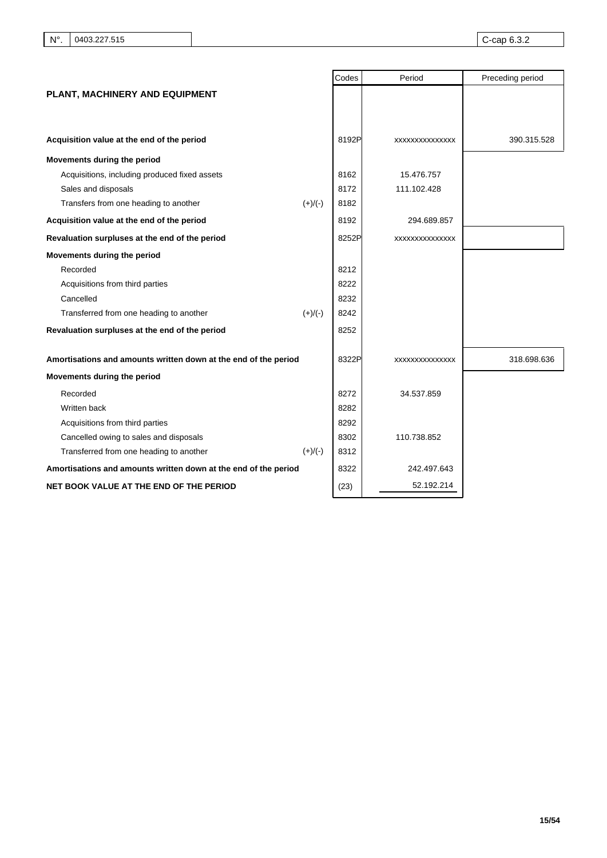|                                                                 | Codes | Period          | Preceding period |
|-----------------------------------------------------------------|-------|-----------------|------------------|
| PLANT, MACHINERY AND EQUIPMENT                                  |       |                 |                  |
|                                                                 |       |                 |                  |
|                                                                 |       |                 |                  |
| Acquisition value at the end of the period                      | 8192P | XXXXXXXXXXXXXX  | 390.315.528      |
| Movements during the period                                     |       |                 |                  |
| Acquisitions, including produced fixed assets                   | 8162  | 15.476.757      |                  |
| Sales and disposals                                             | 8172  | 111.102.428     |                  |
| Transfers from one heading to another<br>$(+)/(-)$              | 8182  |                 |                  |
| Acquisition value at the end of the period                      | 8192  | 294.689.857     |                  |
| Revaluation surpluses at the end of the period                  | 8252P | XXXXXXXXXXXXXXX |                  |
| Movements during the period                                     |       |                 |                  |
| Recorded                                                        | 8212  |                 |                  |
| Acquisitions from third parties                                 | 8222  |                 |                  |
| Cancelled                                                       | 8232  |                 |                  |
| Transferred from one heading to another<br>$(+)/(-)$            | 8242  |                 |                  |
| Revaluation surpluses at the end of the period                  | 8252  |                 |                  |
| Amortisations and amounts written down at the end of the period | 8322P | XXXXXXXXXXXXXX  | 318.698.636      |
| Movements during the period                                     |       |                 |                  |
| Recorded                                                        | 8272  | 34.537.859      |                  |
| Written back                                                    | 8282  |                 |                  |
| Acquisitions from third parties                                 | 8292  |                 |                  |
| Cancelled owing to sales and disposals                          | 8302  | 110.738.852     |                  |
| Transferred from one heading to another<br>$(+)/(-)$            | 8312  |                 |                  |
| Amortisations and amounts written down at the end of the period | 8322  | 242.497.643     |                  |
| NET BOOK VALUE AT THE END OF THE PERIOD                         | (23)  | 52.192.214      |                  |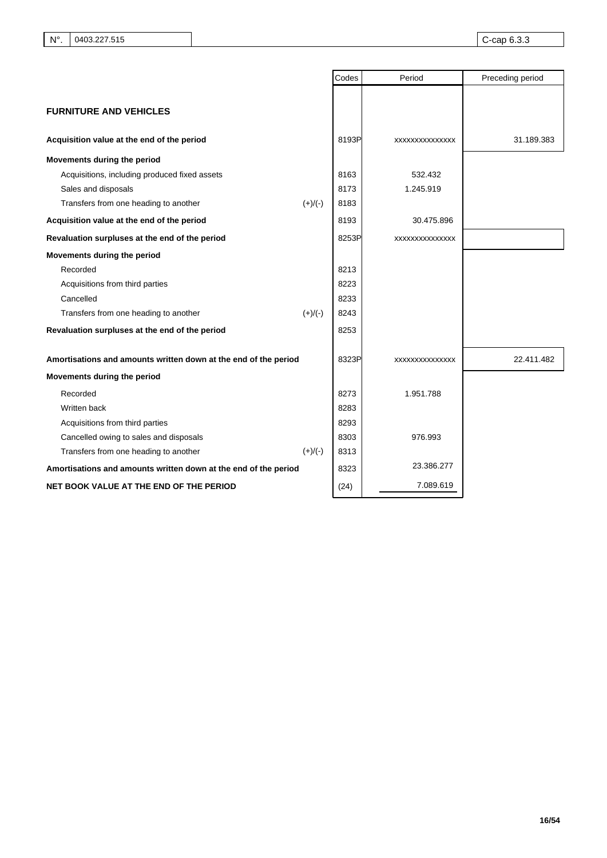|                                                                 |           | Codes | Period          | Preceding period |
|-----------------------------------------------------------------|-----------|-------|-----------------|------------------|
|                                                                 |           |       |                 |                  |
| <b>FURNITURE AND VEHICLES</b>                                   |           |       |                 |                  |
|                                                                 |           |       |                 |                  |
| Acquisition value at the end of the period                      |           | 8193P | XXXXXXXXXXXXXX  | 31.189.383       |
| Movements during the period                                     |           |       |                 |                  |
| Acquisitions, including produced fixed assets                   |           | 8163  | 532.432         |                  |
| Sales and disposals                                             |           | 8173  | 1.245.919       |                  |
| Transfers from one heading to another                           | $(+)/(-)$ | 8183  |                 |                  |
| Acquisition value at the end of the period                      |           | 8193  | 30.475.896      |                  |
| Revaluation surpluses at the end of the period                  |           | 8253P | XXXXXXXXXXXXXX  |                  |
| Movements during the period                                     |           |       |                 |                  |
| Recorded                                                        |           | 8213  |                 |                  |
| Acquisitions from third parties                                 |           | 8223  |                 |                  |
| Cancelled                                                       |           | 8233  |                 |                  |
| Transfers from one heading to another                           | $(+)/(-)$ | 8243  |                 |                  |
| Revaluation surpluses at the end of the period                  |           | 8253  |                 |                  |
| Amortisations and amounts written down at the end of the period |           | 8323P | XXXXXXXXXXXXXXX | 22.411.482       |
| Movements during the period                                     |           |       |                 |                  |
| Recorded                                                        |           | 8273  | 1.951.788       |                  |
| Written back                                                    |           | 8283  |                 |                  |
| Acquisitions from third parties                                 |           | 8293  |                 |                  |
| Cancelled owing to sales and disposals                          |           | 8303  | 976.993         |                  |
| Transfers from one heading to another                           | $(+)/(-)$ | 8313  |                 |                  |
| Amortisations and amounts written down at the end of the period |           | 8323  | 23.386.277      |                  |
| NET BOOK VALUE AT THE END OF THE PERIOD                         |           | (24)  | 7.089.619       |                  |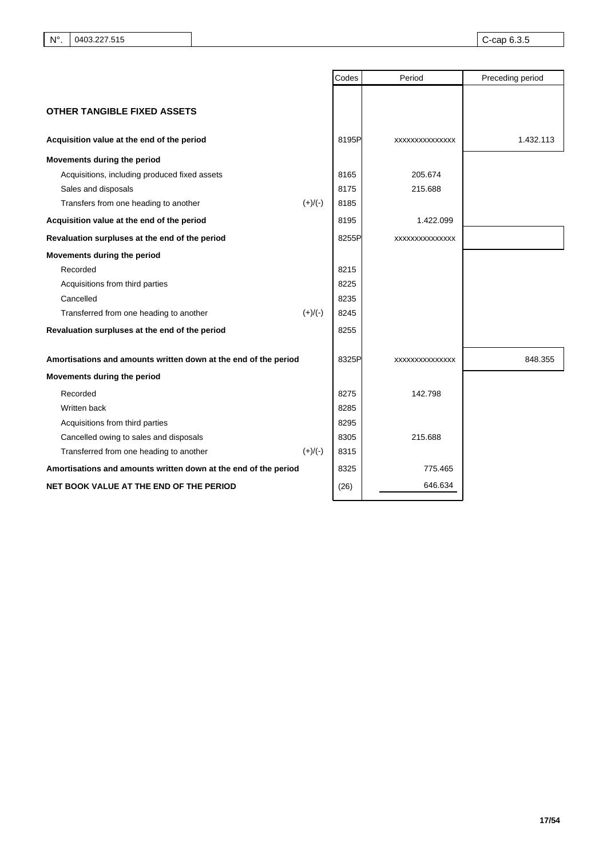|                                                                 |           | Codes | Period          | Preceding period |
|-----------------------------------------------------------------|-----------|-------|-----------------|------------------|
| <b>OTHER TANGIBLE FIXED ASSETS</b>                              |           |       |                 |                  |
|                                                                 |           |       |                 |                  |
| Acquisition value at the end of the period                      |           | 8195P | XXXXXXXXXXXXXX  | 1.432.113        |
| Movements during the period                                     |           |       |                 |                  |
| Acquisitions, including produced fixed assets                   |           | 8165  | 205.674         |                  |
| Sales and disposals                                             |           | 8175  | 215.688         |                  |
| Transfers from one heading to another                           | $(+)/(-)$ | 8185  |                 |                  |
| Acquisition value at the end of the period                      |           | 8195  | 1.422.099       |                  |
| Revaluation surpluses at the end of the period                  |           | 8255P | XXXXXXXXXXXXXX  |                  |
| Movements during the period                                     |           |       |                 |                  |
| Recorded                                                        |           | 8215  |                 |                  |
| Acquisitions from third parties                                 |           | 8225  |                 |                  |
| Cancelled                                                       |           | 8235  |                 |                  |
| Transferred from one heading to another                         | $(+)/(-)$ | 8245  |                 |                  |
| Revaluation surpluses at the end of the period                  |           | 8255  |                 |                  |
| Amortisations and amounts written down at the end of the period |           | 8325P | XXXXXXXXXXXXXXX | 848.355          |
| Movements during the period                                     |           |       |                 |                  |
| Recorded                                                        |           | 8275  | 142.798         |                  |
| Written back                                                    |           | 8285  |                 |                  |
| Acquisitions from third parties                                 |           | 8295  |                 |                  |
| Cancelled owing to sales and disposals                          |           | 8305  | 215.688         |                  |
| Transferred from one heading to another                         | $(+)/(-)$ | 8315  |                 |                  |
| Amortisations and amounts written down at the end of the period |           | 8325  | 775.465         |                  |
| NET BOOK VALUE AT THE END OF THE PERIOD                         |           | (26)  | 646.634         |                  |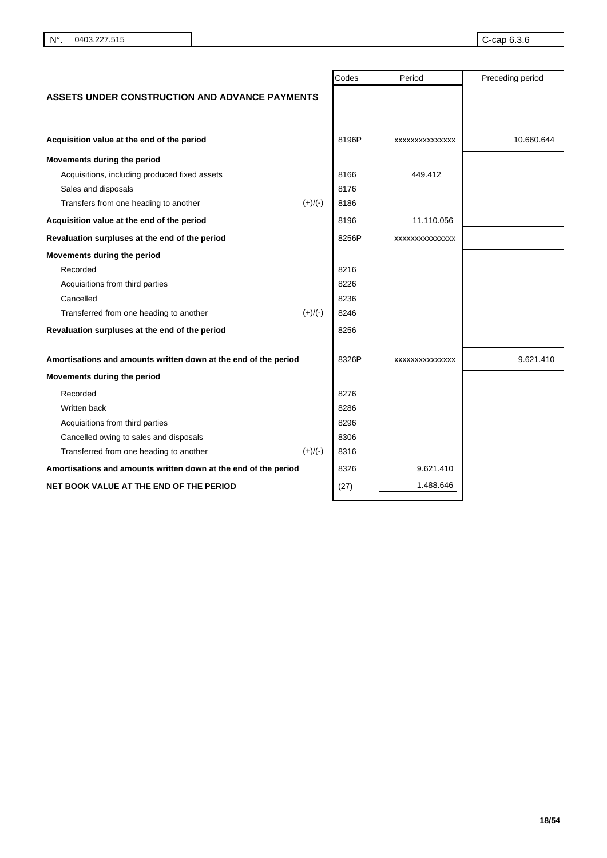|                                                                 |           | Codes | Period         | Preceding period |
|-----------------------------------------------------------------|-----------|-------|----------------|------------------|
| ASSETS UNDER CONSTRUCTION AND ADVANCE PAYMENTS                  |           |       |                |                  |
|                                                                 |           |       |                |                  |
|                                                                 |           |       |                |                  |
| Acquisition value at the end of the period                      |           | 8196P | XXXXXXXXXXXXXX | 10.660.644       |
| Movements during the period                                     |           |       |                |                  |
| Acquisitions, including produced fixed assets                   |           | 8166  | 449.412        |                  |
| Sales and disposals                                             |           | 8176  |                |                  |
| Transfers from one heading to another                           | $(+)/(-)$ | 8186  |                |                  |
| Acquisition value at the end of the period                      |           | 8196  | 11.110.056     |                  |
| Revaluation surpluses at the end of the period                  |           | 8256P | XXXXXXXXXXXXXX |                  |
| Movements during the period                                     |           |       |                |                  |
| Recorded                                                        |           | 8216  |                |                  |
| Acquisitions from third parties                                 |           | 8226  |                |                  |
| Cancelled                                                       |           | 8236  |                |                  |
| Transferred from one heading to another                         | $(+)/(-)$ | 8246  |                |                  |
| Revaluation surpluses at the end of the period                  |           | 8256  |                |                  |
| Amortisations and amounts written down at the end of the period |           | 8326P | XXXXXXXXXXXXXX | 9.621.410        |
| Movements during the period                                     |           |       |                |                  |
| Recorded                                                        |           | 8276  |                |                  |
| Written back                                                    |           | 8286  |                |                  |
| Acquisitions from third parties                                 |           | 8296  |                |                  |
| Cancelled owing to sales and disposals                          |           | 8306  |                |                  |
| Transferred from one heading to another                         | $(+)/(-)$ | 8316  |                |                  |
| Amortisations and amounts written down at the end of the period |           | 8326  | 9.621.410      |                  |
| NET BOOK VALUE AT THE END OF THE PERIOD                         |           | (27)  | 1.488.646      |                  |
|                                                                 |           |       |                |                  |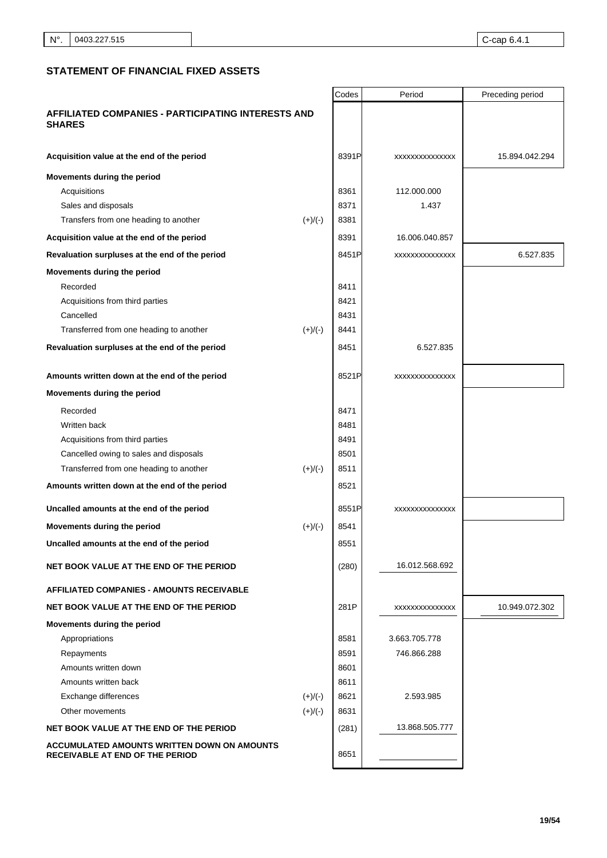# **STATEMENT OF FINANCIAL FIXED ASSETS**

|                                                                                       |           | Codes | Period         | Preceding period |
|---------------------------------------------------------------------------------------|-----------|-------|----------------|------------------|
| AFFILIATED COMPANIES - PARTICIPATING INTERESTS AND<br><b>SHARES</b>                   |           |       |                |                  |
| Acquisition value at the end of the period                                            |           | 8391P | XXXXXXXXXXXXXX | 15.894.042.294   |
| Movements during the period                                                           |           |       |                |                  |
| Acquisitions                                                                          |           | 8361  | 112.000.000    |                  |
| Sales and disposals                                                                   |           | 8371  | 1.437          |                  |
| Transfers from one heading to another                                                 | $(+)/(-)$ | 8381  |                |                  |
| Acquisition value at the end of the period                                            |           | 8391  | 16.006.040.857 |                  |
| Revaluation surpluses at the end of the period                                        |           | 8451P | XXXXXXXXXXXXXX | 6.527.835        |
| Movements during the period                                                           |           |       |                |                  |
| Recorded                                                                              |           | 8411  |                |                  |
| Acquisitions from third parties                                                       |           | 8421  |                |                  |
| Cancelled                                                                             |           | 8431  |                |                  |
| Transferred from one heading to another                                               | $(+)/(-)$ | 8441  |                |                  |
| Revaluation surpluses at the end of the period                                        |           | 8451  | 6.527.835      |                  |
| Amounts written down at the end of the period                                         |           | 8521P | XXXXXXXXXXXXXX |                  |
| Movements during the period                                                           |           |       |                |                  |
| Recorded                                                                              |           | 8471  |                |                  |
| Written back                                                                          |           | 8481  |                |                  |
| Acquisitions from third parties                                                       |           | 8491  |                |                  |
| Cancelled owing to sales and disposals                                                |           | 8501  |                |                  |
| Transferred from one heading to another                                               | $(+)/(-)$ | 8511  |                |                  |
| Amounts written down at the end of the period                                         |           | 8521  |                |                  |
| Uncalled amounts at the end of the period                                             |           | 8551P | XXXXXXXXXXXXXX |                  |
| Movements during the period                                                           | $(+)/(-)$ | 8541  |                |                  |
| Uncalled amounts at the end of the period                                             |           | 8551  |                |                  |
| NET BOOK VALUE AT THE END OF THE PERIOD                                               |           | (280) | 16.012.568.692 |                  |
| <b>AFFILIATED COMPANIES - AMOUNTS RECEIVABLE</b>                                      |           |       |                |                  |
| NET BOOK VALUE AT THE END OF THE PERIOD                                               |           | 281P  | XXXXXXXXXXXXXX | 10.949.072.302   |
| Movements during the period                                                           |           |       |                |                  |
| Appropriations                                                                        |           | 8581  | 3.663.705.778  |                  |
| Repayments                                                                            |           | 8591  | 746.866.288    |                  |
| Amounts written down                                                                  |           | 8601  |                |                  |
| Amounts written back                                                                  |           | 8611  |                |                  |
| Exchange differences                                                                  | $(+)/(-)$ | 8621  | 2.593.985      |                  |
| Other movements                                                                       | $(+)/(-)$ | 8631  |                |                  |
| NET BOOK VALUE AT THE END OF THE PERIOD                                               |           | (281) | 13.868.505.777 |                  |
| ACCUMULATED AMOUNTS WRITTEN DOWN ON AMOUNTS<br><b>RECEIVABLE AT END OF THE PERIOD</b> |           | 8651  |                |                  |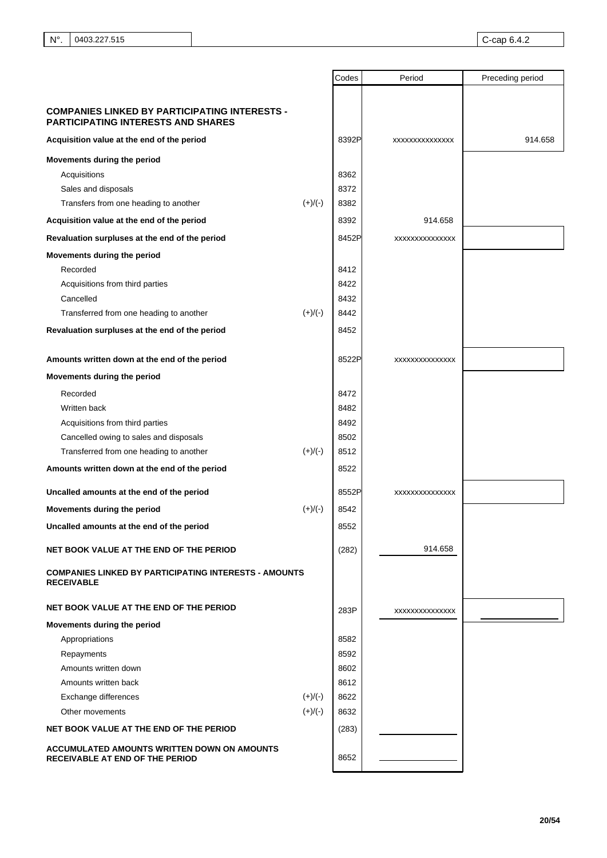|                                                                                                   |           | Codes | Period         | Preceding period |
|---------------------------------------------------------------------------------------------------|-----------|-------|----------------|------------------|
|                                                                                                   |           |       |                |                  |
| <b>COMPANIES LINKED BY PARTICIPATING INTERESTS -</b><br><b>PARTICIPATING INTERESTS AND SHARES</b> |           |       |                |                  |
| Acquisition value at the end of the period                                                        |           | 8392P | XXXXXXXXXXXXXX | 914.658          |
| Movements during the period                                                                       |           |       |                |                  |
| Acquisitions                                                                                      |           | 8362  |                |                  |
| Sales and disposals                                                                               |           | 8372  |                |                  |
| Transfers from one heading to another                                                             | $(+)/(-)$ | 8382  |                |                  |
| Acquisition value at the end of the period                                                        |           | 8392  | 914.658        |                  |
| Revaluation surpluses at the end of the period                                                    |           | 8452P | XXXXXXXXXXXXXX |                  |
| Movements during the period                                                                       |           |       |                |                  |
| Recorded                                                                                          |           | 8412  |                |                  |
| Acquisitions from third parties                                                                   |           | 8422  |                |                  |
| Cancelled                                                                                         |           | 8432  |                |                  |
| Transferred from one heading to another                                                           | $(+)/(-)$ | 8442  |                |                  |
| Revaluation surpluses at the end of the period                                                    |           | 8452  |                |                  |
|                                                                                                   |           |       |                |                  |
| Amounts written down at the end of the period                                                     |           | 8522P | XXXXXXXXXXXXXX |                  |
| Movements during the period                                                                       |           |       |                |                  |
| Recorded                                                                                          |           | 8472  |                |                  |
| Written back                                                                                      |           | 8482  |                |                  |
| Acquisitions from third parties                                                                   |           | 8492  |                |                  |
| Cancelled owing to sales and disposals                                                            |           | 8502  |                |                  |
| Transferred from one heading to another                                                           | $(+)/(-)$ | 8512  |                |                  |
| Amounts written down at the end of the period                                                     |           | 8522  |                |                  |
| Uncalled amounts at the end of the period                                                         |           | 8552P | XXXXXXXXXXXXXX |                  |
| Movements during the period                                                                       | $(+)/(-)$ | 8542  |                |                  |
| Uncalled amounts at the end of the period                                                         |           | 8552  |                |                  |
| NET BOOK VALUE AT THE END OF THE PERIOD                                                           |           | (282) | 914.658        |                  |
| <b>COMPANIES LINKED BY PARTICIPATING INTERESTS - AMOUNTS</b><br><b>RECEIVABLE</b>                 |           |       |                |                  |
| NET BOOK VALUE AT THE END OF THE PERIOD                                                           |           | 283P  | XXXXXXXXXXXXXX |                  |
| Movements during the period                                                                       |           |       |                |                  |
| Appropriations                                                                                    |           | 8582  |                |                  |
| Repayments                                                                                        |           | 8592  |                |                  |
| Amounts written down                                                                              |           | 8602  |                |                  |
| Amounts written back                                                                              |           | 8612  |                |                  |
| Exchange differences                                                                              | $(+)/(-)$ | 8622  |                |                  |
| Other movements                                                                                   | $(+)/(-)$ | 8632  |                |                  |
| NET BOOK VALUE AT THE END OF THE PERIOD                                                           |           | (283) |                |                  |
| ACCUMULATED AMOUNTS WRITTEN DOWN ON AMOUNTS<br>RECEIVABLE AT END OF THE PERIOD                    |           | 8652  |                |                  |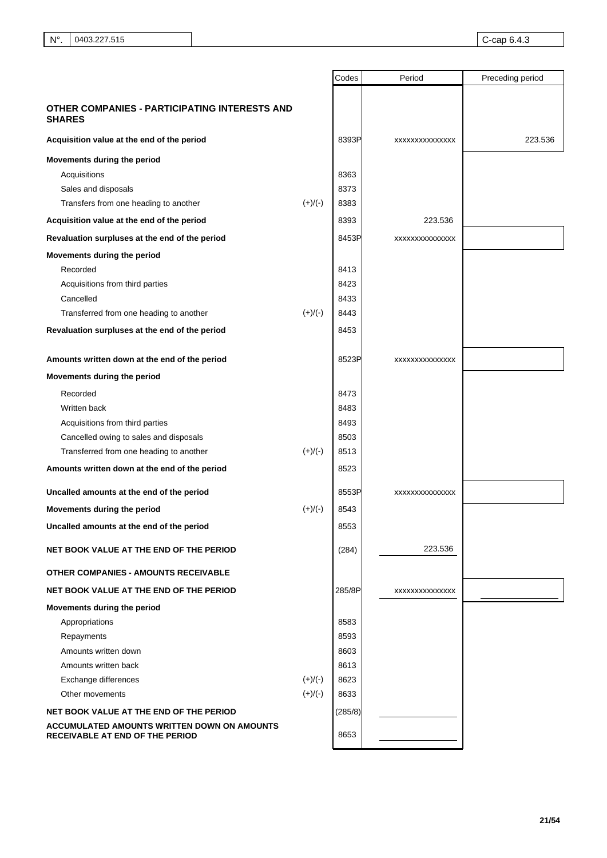|                                                                                       |           | Codes   | Period         | Preceding period |
|---------------------------------------------------------------------------------------|-----------|---------|----------------|------------------|
|                                                                                       |           |         |                |                  |
| OTHER COMPANIES - PARTICIPATING INTERESTS AND<br><b>SHARES</b>                        |           |         |                |                  |
| Acquisition value at the end of the period                                            |           | 8393P   | XXXXXXXXXXXXXX | 223.536          |
| Movements during the period                                                           |           |         |                |                  |
| Acquisitions                                                                          |           | 8363    |                |                  |
| Sales and disposals                                                                   |           | 8373    |                |                  |
| Transfers from one heading to another                                                 | $(+)/(-)$ | 8383    |                |                  |
| Acquisition value at the end of the period                                            |           | 8393    | 223.536        |                  |
| Revaluation surpluses at the end of the period                                        |           | 8453P   | XXXXXXXXXXXXXX |                  |
| Movements during the period                                                           |           |         |                |                  |
| Recorded                                                                              |           | 8413    |                |                  |
| Acquisitions from third parties                                                       |           | 8423    |                |                  |
| Cancelled                                                                             |           | 8433    |                |                  |
| Transferred from one heading to another                                               | $(+)/(-)$ | 8443    |                |                  |
| Revaluation surpluses at the end of the period                                        |           | 8453    |                |                  |
| Amounts written down at the end of the period                                         |           | 8523P   | XXXXXXXXXXXXXX |                  |
| Movements during the period                                                           |           |         |                |                  |
| Recorded                                                                              |           | 8473    |                |                  |
| Written back                                                                          |           | 8483    |                |                  |
| Acquisitions from third parties                                                       |           | 8493    |                |                  |
| Cancelled owing to sales and disposals                                                |           | 8503    |                |                  |
| Transferred from one heading to another                                               | $(+)/(-)$ | 8513    |                |                  |
| Amounts written down at the end of the period                                         |           | 8523    |                |                  |
| Uncalled amounts at the end of the period                                             |           | 8553P   | XXXXXXXXXXXXXX |                  |
| Movements during the period                                                           | $(+)/(-)$ | 8543    |                |                  |
| Uncalled amounts at the end of the period                                             |           | 8553    |                |                  |
| NET BOOK VALUE AT THE END OF THE PERIOD                                               |           | (284)   | 223.536        |                  |
| <b>OTHER COMPANIES - AMOUNTS RECEIVABLE</b>                                           |           |         |                |                  |
| NET BOOK VALUE AT THE END OF THE PERIOD                                               |           | 285/8P  | XXXXXXXXXXXXXX |                  |
| Movements during the period                                                           |           |         |                |                  |
| Appropriations                                                                        |           | 8583    |                |                  |
| Repayments                                                                            |           | 8593    |                |                  |
| Amounts written down                                                                  |           | 8603    |                |                  |
| Amounts written back                                                                  |           | 8613    |                |                  |
| Exchange differences                                                                  | $(+)/(-)$ | 8623    |                |                  |
| Other movements                                                                       | $(+)/(-)$ | 8633    |                |                  |
| NET BOOK VALUE AT THE END OF THE PERIOD                                               |           | (285/8) |                |                  |
| ACCUMULATED AMOUNTS WRITTEN DOWN ON AMOUNTS<br><b>RECEIVABLE AT END OF THE PERIOD</b> |           | 8653    |                |                  |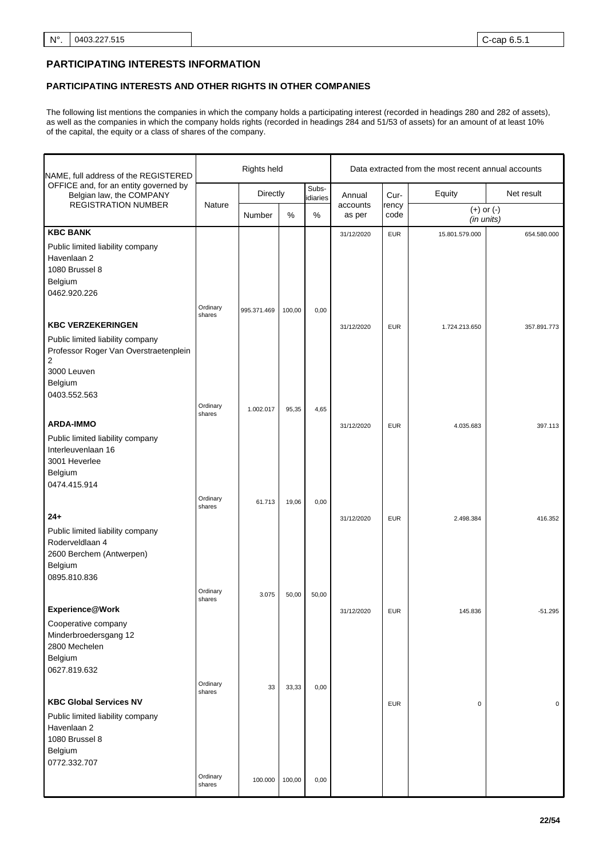# **PARTICIPATING INTERESTS INFORMATION**

# **PARTICIPATING INTERESTS AND OTHER RIGHTS IN OTHER COMPANIES**

The following list mentions the companies in which the company holds a participating interest (recorded in headings 280 and 282 of assets), as well as the companies in which the company holds rights (recorded in headings 284 and 51/53 of assets) for an amount of at least 10% of the capital, the equity or a class of shares of the company.

| NAME, full address of the REGISTERED                                                                                                  |                    | Rights held |        |                   | Data extracted from the most recent annual accounts |               |                              |              |
|---------------------------------------------------------------------------------------------------------------------------------------|--------------------|-------------|--------|-------------------|-----------------------------------------------------|---------------|------------------------------|--------------|
| OFFICE and, for an entity governed by<br>Belgian law, the COMPANY                                                                     |                    | Directly    |        | Subs-<br>idiaries | Annual                                              | Cur-          | Equity                       | Net result   |
| <b>REGISTRATION NUMBER</b>                                                                                                            | Nature             | Number      | $\%$   | $\%$              | accounts<br>as per                                  | rency<br>code | $(+)$ or $(-)$<br>(in units) |              |
| <b>KBC BANK</b>                                                                                                                       |                    |             |        |                   | 31/12/2020                                          | <b>EUR</b>    | 15.801.579.000               | 654.580.000  |
| Public limited liability company<br>Havenlaan 2<br>1080 Brussel 8<br>Belgium<br>0462.920.226                                          | Ordinary           |             |        |                   |                                                     |               |                              |              |
|                                                                                                                                       | shares             | 995.371.469 | 100,00 | 0,00              |                                                     |               |                              |              |
| <b>KBC VERZEKERINGEN</b>                                                                                                              |                    |             |        |                   | 31/12/2020                                          | <b>EUR</b>    | 1.724.213.650                | 357.891.773  |
| Public limited liability company<br>Professor Roger Van Overstraetenplein<br>$\overline{2}$<br>3000 Leuven<br>Belgium<br>0403.552.563 |                    |             |        |                   |                                                     |               |                              |              |
|                                                                                                                                       | Ordinary           | 1.002.017   | 95,35  | 4,65              |                                                     |               |                              |              |
| <b>ARDA-IMMO</b>                                                                                                                      | shares             |             |        |                   | 31/12/2020                                          | <b>EUR</b>    | 4.035.683                    | 397.113      |
| Public limited liability company<br>Interleuvenlaan 16<br>3001 Heverlee<br>Belgium<br>0474.415.914                                    |                    |             |        |                   |                                                     |               |                              |              |
|                                                                                                                                       | Ordinary           |             |        |                   |                                                     |               |                              |              |
| $24+$<br>Public limited liability company<br>Roderveldlaan 4<br>2600 Berchem (Antwerpen)<br>Belgium<br>0895.810.836                   | shares             | 61.713      | 19,06  | 0,00              | 31/12/2020                                          | <b>EUR</b>    | 2.498.384                    | 416.352      |
|                                                                                                                                       | Ordinary           |             |        |                   |                                                     |               |                              |              |
| Experience@Work<br>Cooperative company<br>Minderbroedersgang 12<br>2800 Mechelen<br>Belgium<br>0627.819.632                           | shares             | 3.075       | 50,00  | 50,00             | 31/12/2020                                          | <b>EUR</b>    | 145.836                      | $-51.295$    |
|                                                                                                                                       | Ordinary           | 33          | 33,33  | 0,00              |                                                     |               |                              |              |
| <b>KBC Global Services NV</b><br>Public limited liability company<br>Havenlaan 2<br>1080 Brussel 8<br>Belgium<br>0772.332.707         | shares             |             |        |                   |                                                     | <b>EUR</b>    | $\mathbf 0$                  | $\mathbf{0}$ |
|                                                                                                                                       | Ordinary<br>shares | 100.000     | 100,00 | 0,00              |                                                     |               |                              |              |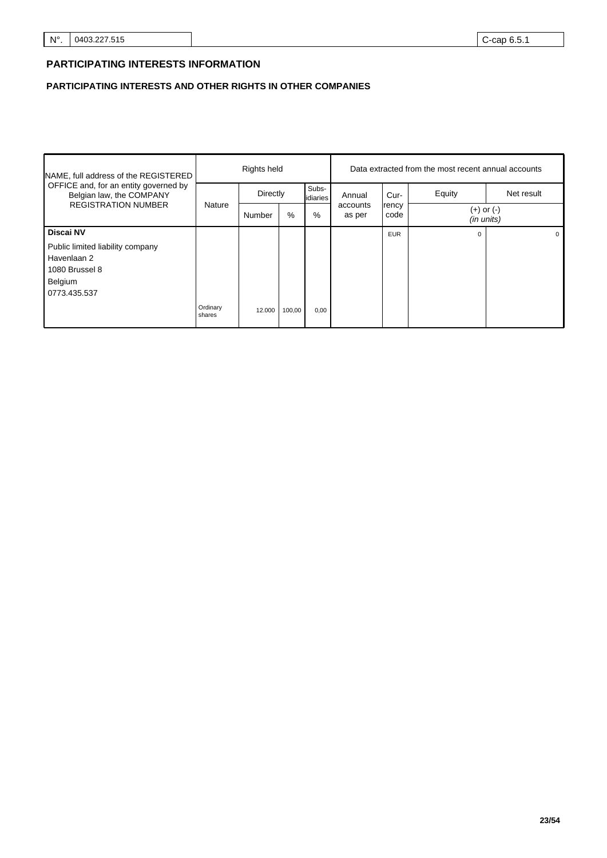# **PARTICIPATING INTERESTS INFORMATION**

# **PARTICIPATING INTERESTS AND OTHER RIGHTS IN OTHER COMPANIES**

| NAME, full address of the REGISTERED                                                         |                            | Rights held |                    |                      |                          |            | Data extracted from the most recent annual accounts |            |
|----------------------------------------------------------------------------------------------|----------------------------|-------------|--------------------|----------------------|--------------------------|------------|-----------------------------------------------------|------------|
| OFFICE and, for an entity governed by<br>Belgian law, the COMPANY                            |                            | Directly    |                    | Subs-<br>idiaries    | Annual                   | Cur-       | Equity                                              | Net result |
| <b>REGISTRATION NUMBER</b>                                                                   | Nature<br>%<br>%<br>Number |             | accounts<br>as per | <b>rency</b><br>code | (+) or (-)<br>(in units) |            |                                                     |            |
| <b>Discai NV</b>                                                                             |                            |             |                    |                      |                          | <b>EUR</b> | $\Omega$                                            | $\Omega$   |
| Public limited liability company<br>Havenlaan 2<br>1080 Brussel 8<br>Belgium<br>0773.435.537 |                            |             |                    |                      |                          |            |                                                     |            |
|                                                                                              | Ordinary<br>shares         | 12.000      | 100,00             | 0,00                 |                          |            |                                                     |            |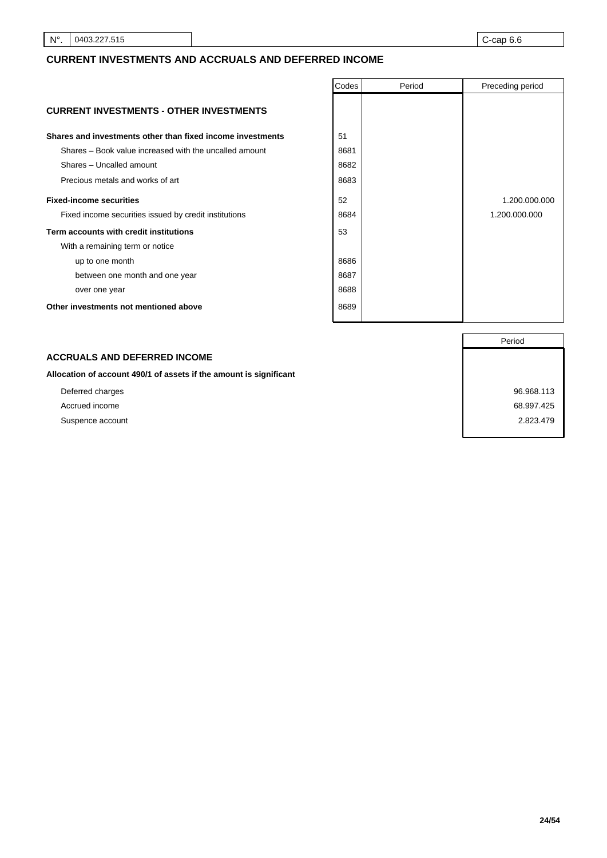# **CURRENT INVESTMENTS AND ACCRUALS AND DEFERRED INCOME**

|                                                            | Codes | Period | Preceding period |
|------------------------------------------------------------|-------|--------|------------------|
| <b>CURRENT INVESTMENTS - OTHER INVESTMENTS</b>             |       |        |                  |
| Shares and investments other than fixed income investments | 51    |        |                  |
| Shares – Book value increased with the uncalled amount     | 8681  |        |                  |
| Shares - Uncalled amount                                   | 8682  |        |                  |
| Precious metals and works of art                           | 8683  |        |                  |
| <b>Fixed-income securities</b>                             | 52    |        | 1.200.000.000    |
| Fixed income securities issued by credit institutions      | 8684  |        | 1.200.000.000    |
| Term accounts with credit institutions                     | 53    |        |                  |
| With a remaining term or notice                            |       |        |                  |
| up to one month                                            | 8686  |        |                  |
| between one month and one year                             | 8687  |        |                  |
| over one year                                              | 8688  |        |                  |
| Other investments not mentioned above                      | 8689  |        |                  |

## **ACCRUALS AND DEFERRED INCOME**

**Allocation of account 490/1 of assets if the amount is significant**

- 
- 

Period Deferred charges 96.968.113 Accrued income 68.997.425 Suspence account 2.823.479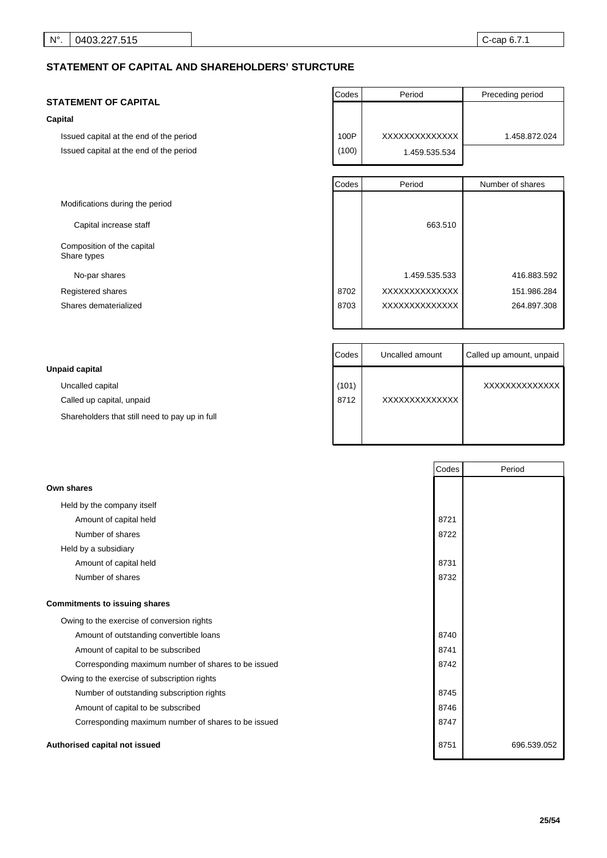# **STATEMENT OF CAPITAL AND SHAREHOLDERS' STURCTURE**

### **STATEMENT OF CAPITAL**

### **Capital**

Issued capital at the end of the period Issued capital at the end of the period

Modifications during the period

Capital increase staff

Composition of the capital Share types

No-par shares

Registered shares

Shares dematerialized

| Codes | Period        | Preceding period |
|-------|---------------|------------------|
|       |               |                  |
|       |               |                  |
| 100P  | XXXXXXXXXXXXX | 1.458.872.024    |
| (100) | 1.459.535.534 |                  |

| Codes | Period        | Number of shares |
|-------|---------------|------------------|
|       | 663.510       |                  |
|       | 1.459.535.533 | 416.883.592      |
| 8702  | XXXXXXXXXXXXX | 151.986.284      |
| 8703  | XXXXXXXXXXXXX | 264.897.308      |

H

|                                                | <b>Codes</b> | Uncalled amount | Called up amount, unpaid |
|------------------------------------------------|--------------|-----------------|--------------------------|
| Unpaid capital                                 |              |                 |                          |
| Uncalled capital                               | (101)        |                 | XXXXXXXXXXXXX            |
| Called up capital, unpaid                      | 8712         | XXXXXXXXXXXXXX  |                          |
| Shareholders that still need to pay up in full |              |                 |                          |
|                                                |              |                 |                          |

 $\perp$ 

|                                                     | Codes | Period      |
|-----------------------------------------------------|-------|-------------|
| Own shares                                          |       |             |
| Held by the company itself                          |       |             |
| Amount of capital held                              | 8721  |             |
| Number of shares                                    | 8722  |             |
| Held by a subsidiary                                |       |             |
| Amount of capital held                              | 8731  |             |
| Number of shares                                    | 8732  |             |
| <b>Commitments to issuing shares</b>                |       |             |
| Owing to the exercise of conversion rights          |       |             |
| Amount of outstanding convertible loans             | 8740  |             |
| Amount of capital to be subscribed                  | 8741  |             |
| Corresponding maximum number of shares to be issued | 8742  |             |
| Owing to the exercise of subscription rights        |       |             |
| Number of outstanding subscription rights           | 8745  |             |
| Amount of capital to be subscribed                  | 8746  |             |
| Corresponding maximum number of shares to be issued | 8747  |             |
| Authorised capital not issued                       | 8751  | 696.539.052 |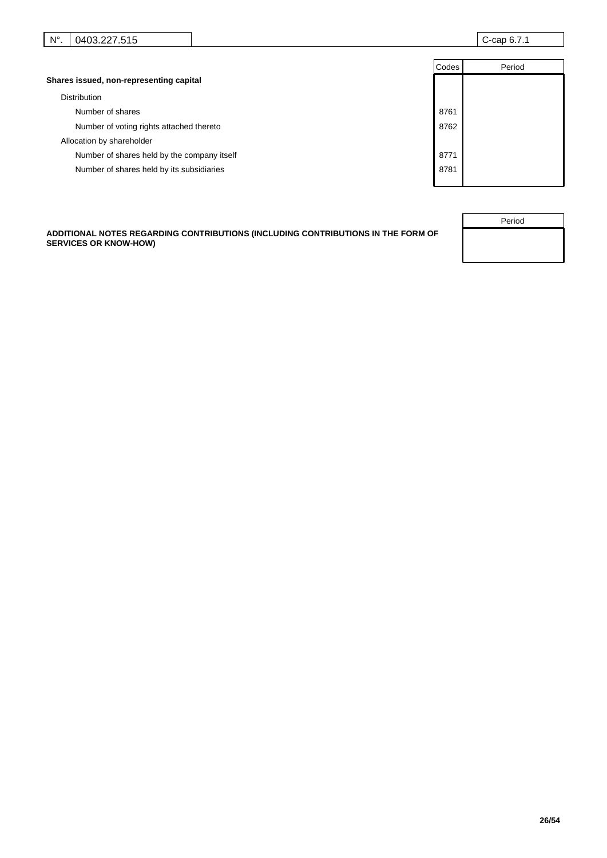| $ -$<br>$N^{\circ}$<br>$\sim$<br>פ∩⊿ו<br>$\sim$<br>1 L<br>car<br>.טוט.<br>.<br>.<br>. .<br><u>.</u> |
|-----------------------------------------------------------------------------------------------------|
|-----------------------------------------------------------------------------------------------------|

|                                             | Codes | Period |
|---------------------------------------------|-------|--------|
| Shares issued, non-representing capital     |       |        |
| <b>Distribution</b>                         |       |        |
| Number of shares                            | 8761  |        |
| Number of voting rights attached thereto    | 8762  |        |
| Allocation by shareholder                   |       |        |
| Number of shares held by the company itself | 8771  |        |
| Number of shares held by its subsidiaries   | 8781  |        |
|                                             |       |        |

**ADDITIONAL NOTES REGARDING CONTRIBUTIONS (INCLUDING CONTRIBUTIONS IN THE FORM OF SERVICES OR KNOW-HOW)**

| Period |  |
|--------|--|
|        |  |
|        |  |
|        |  |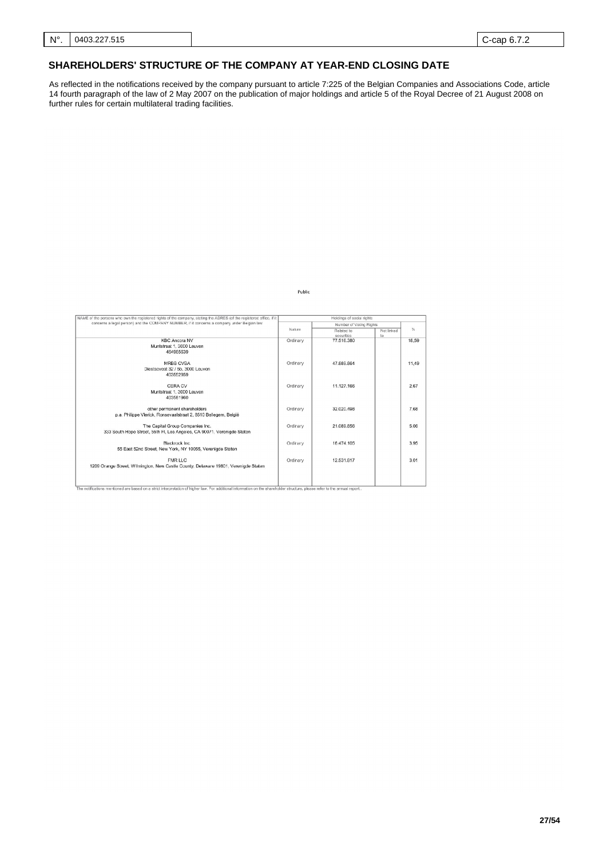# **SHAREHOLDERS' STRUCTURE OF THE COMPANY AT YEAR-END CLOSING DATE**

As reflected in the notifications received by the company pursuant to article 7:225 of the Belgian Companies and Associations Code, article 14 fourth paragraph of the law of 2 May 2007 on the publication of major holdings and article 5 of the Royal Decree of 21 August 2008 on further rules for certain multilateral trading facilities.

Public

| NAME of the persons who own the registered rights of the company, stating the ADRES (of the registered office, if it                                                       |          | Holdings of social rights |            |       |
|----------------------------------------------------------------------------------------------------------------------------------------------------------------------------|----------|---------------------------|------------|-------|
| concerns a legal person) and the COMPANY NUMBER, if it concerns a company under Belgian law                                                                                |          | Number of Votinc Rights   |            |       |
|                                                                                                                                                                            | Nature   | Related to                | Not linked | %     |
|                                                                                                                                                                            |          | securities                | to         |       |
| <b>KBC Ancora NV</b>                                                                                                                                                       | Ordinary | 77.516.380                |            | 18,59 |
| Muntstraat 1, 3000 Leuven                                                                                                                                                  |          |                           |            |       |
| 464965639                                                                                                                                                                  |          |                           |            |       |
|                                                                                                                                                                            |          |                           |            |       |
| MRBB CVBA                                                                                                                                                                  | Ordinary | 47.889.864                |            | 11,49 |
| Diestsevest 32 / 5b, 3000 Leuven                                                                                                                                           |          |                           |            |       |
| 403552959                                                                                                                                                                  |          |                           |            |       |
|                                                                                                                                                                            |          |                           |            |       |
| CERA CV                                                                                                                                                                    | Ordinary | 11.127.166                |            | 2.67  |
| Muntstraat 1, 3000 Leuven                                                                                                                                                  |          |                           |            |       |
| 403581960                                                                                                                                                                  |          |                           |            |       |
|                                                                                                                                                                            |          | 32.020.498                |            | 7.68  |
| other permanent shareholders                                                                                                                                               | Ordinary |                           |            |       |
| p.a. Philippe Vlerick, Ronseyaalstraat 2, 8510 Bellegem, België                                                                                                            |          |                           |            |       |
| The Capital Group Companies Inc.                                                                                                                                           | Ordinary | 21.089.856                |            | 5.06  |
| 333 South Hope Street, 55th Fl, Los Angeles, CA 90071. Verenigde Staten                                                                                                    |          |                           |            |       |
|                                                                                                                                                                            |          |                           |            |       |
| Blackrock Inc.                                                                                                                                                             | Ordinary | 16.474.105                |            | 3.95  |
| 55 East 52nd Street, New York, NY 10055, Verenigde Staten                                                                                                                  |          |                           |            |       |
|                                                                                                                                                                            |          |                           |            |       |
| <b>FMR LLC</b>                                                                                                                                                             | Ordinary | 12.531.817                |            | 3.01  |
| 1209 Orange Street, Wilmington, New Castle County, Delaware 19801, Verenigde Staten                                                                                        |          |                           |            |       |
|                                                                                                                                                                            |          |                           |            |       |
|                                                                                                                                                                            |          |                           |            |       |
|                                                                                                                                                                            |          |                           |            |       |
| The notifications mentioned are based on a strict interpretation of higher law. For additional information on the shareholder structure, please refer to the annual report |          |                           |            |       |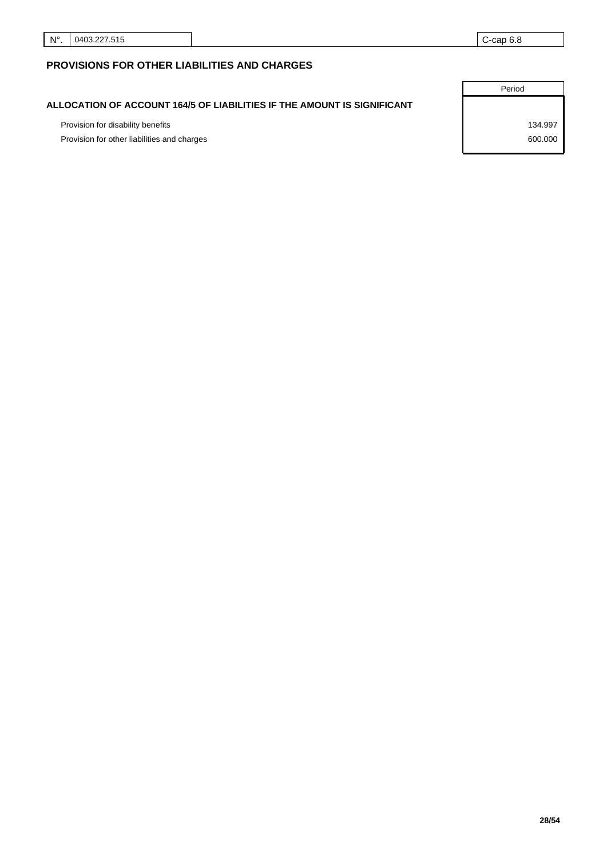# **PROVISIONS FOR OTHER LIABILITIES AND CHARGES**

## **ALLOCATION OF ACCOUNT 164/5 OF LIABILITIES IF THE AMOUNT IS SIGNIFICANT**

Provision for disability benefits 134.997

Provision for other liabilities and charges 600.000 model in the state of the state 600.000 model in the 600.000

Period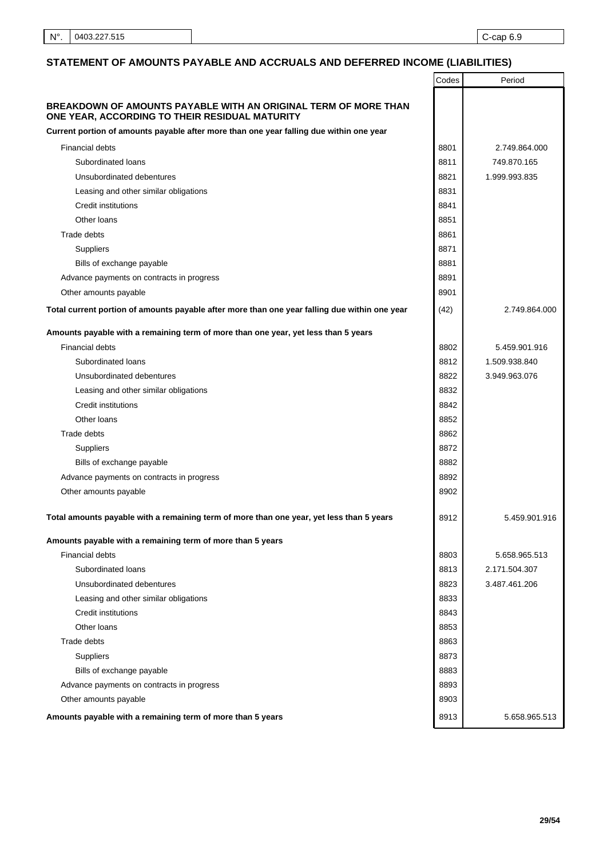# **STATEMENT OF AMOUNTS PAYABLE AND ACCRUALS AND DEFERRED INCOME (LIABILITIES)**

|                                                                                                                   | Codes | Period        |
|-------------------------------------------------------------------------------------------------------------------|-------|---------------|
| BREAKDOWN OF AMOUNTS PAYABLE WITH AN ORIGINAL TERM OF MORE THAN<br>ONE YEAR, ACCORDING TO THEIR RESIDUAL MATURITY |       |               |
| Current portion of amounts payable after more than one year falling due within one year                           |       |               |
| <b>Financial debts</b>                                                                                            | 8801  | 2.749.864.000 |
| Subordinated loans                                                                                                | 8811  | 749.870.165   |
| Unsubordinated debentures                                                                                         | 8821  | 1.999.993.835 |
| Leasing and other similar obligations                                                                             | 8831  |               |
| Credit institutions                                                                                               | 8841  |               |
| Other loans                                                                                                       | 8851  |               |
| Trade debts                                                                                                       | 8861  |               |
| Suppliers                                                                                                         | 8871  |               |
| Bills of exchange payable                                                                                         | 8881  |               |
| Advance payments on contracts in progress                                                                         | 8891  |               |
| Other amounts payable                                                                                             | 8901  |               |
| Total current portion of amounts payable after more than one year falling due within one year                     | (42)  | 2.749.864.000 |
| Amounts payable with a remaining term of more than one year, yet less than 5 years                                |       |               |
| <b>Financial debts</b>                                                                                            | 8802  | 5.459.901.916 |
| Subordinated loans                                                                                                | 8812  | 1.509.938.840 |
| Unsubordinated debentures                                                                                         | 8822  | 3.949.963.076 |
| Leasing and other similar obligations                                                                             | 8832  |               |
| Credit institutions                                                                                               | 8842  |               |
| Other loans                                                                                                       | 8852  |               |
| Trade debts                                                                                                       | 8862  |               |
| <b>Suppliers</b>                                                                                                  | 8872  |               |
| Bills of exchange payable                                                                                         | 8882  |               |
| Advance payments on contracts in progress                                                                         | 8892  |               |
| Other amounts payable                                                                                             | 8902  |               |
| Total amounts payable with a remaining term of more than one year, yet less than 5 years                          | 8912  | 5.459.901.916 |
| Amounts payable with a remaining term of more than 5 years                                                        |       |               |
| <b>Financial debts</b>                                                                                            | 8803  | 5.658.965.513 |
| Subordinated loans                                                                                                | 8813  | 2.171.504.307 |
| Unsubordinated debentures                                                                                         | 8823  | 3.487.461.206 |
| Leasing and other similar obligations                                                                             | 8833  |               |
| <b>Credit institutions</b>                                                                                        | 8843  |               |
| Other loans                                                                                                       | 8853  |               |
| Trade debts                                                                                                       | 8863  |               |
| Suppliers                                                                                                         | 8873  |               |
| Bills of exchange payable                                                                                         | 8883  |               |
| Advance payments on contracts in progress                                                                         | 8893  |               |
| Other amounts payable                                                                                             | 8903  |               |
| Amounts payable with a remaining term of more than 5 years                                                        | 8913  | 5.658.965.513 |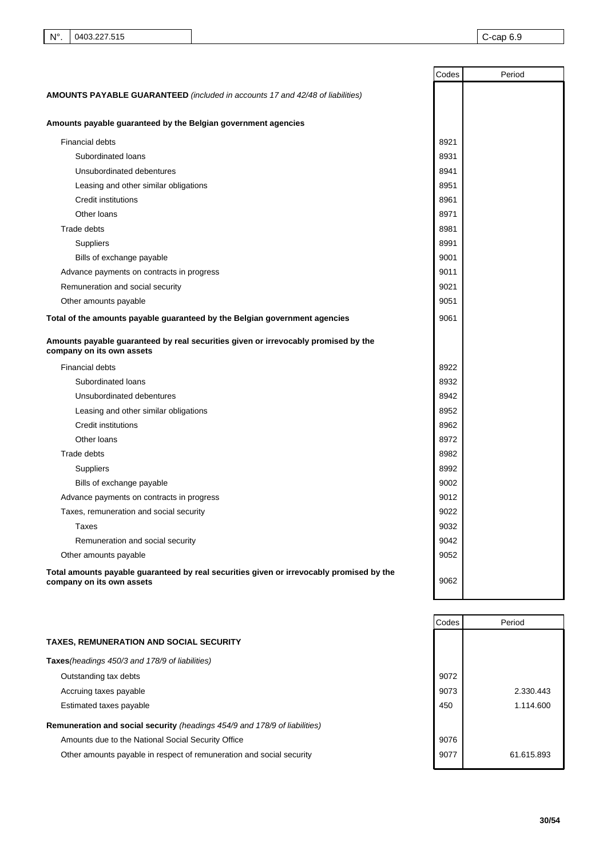|                                                                                                                       | Codes | Period |
|-----------------------------------------------------------------------------------------------------------------------|-------|--------|
| <b>AMOUNTS PAYABLE GUARANTEED</b> (included in accounts 17 and 42/48 of liabilities)                                  |       |        |
|                                                                                                                       |       |        |
| Amounts payable guaranteed by the Belgian government agencies                                                         |       |        |
| <b>Financial debts</b>                                                                                                | 8921  |        |
| Subordinated loans                                                                                                    | 8931  |        |
| Unsubordinated debentures                                                                                             | 8941  |        |
| Leasing and other similar obligations                                                                                 | 8951  |        |
| Credit institutions                                                                                                   | 8961  |        |
| Other loans                                                                                                           | 8971  |        |
| Trade debts                                                                                                           | 8981  |        |
| <b>Suppliers</b>                                                                                                      | 8991  |        |
| Bills of exchange payable                                                                                             | 9001  |        |
| Advance payments on contracts in progress                                                                             | 9011  |        |
| Remuneration and social security                                                                                      | 9021  |        |
| Other amounts payable                                                                                                 | 9051  |        |
| Total of the amounts payable guaranteed by the Belgian government agencies                                            | 9061  |        |
| Amounts payable guaranteed by real securities given or irrevocably promised by the<br>company on its own assets       |       |        |
| <b>Financial debts</b>                                                                                                | 8922  |        |
| Subordinated loans                                                                                                    | 8932  |        |
| Unsubordinated debentures                                                                                             | 8942  |        |
| Leasing and other similar obligations                                                                                 | 8952  |        |
| <b>Credit institutions</b>                                                                                            | 8962  |        |
| Other loans                                                                                                           | 8972  |        |
| Trade debts                                                                                                           | 8982  |        |
| <b>Suppliers</b>                                                                                                      | 8992  |        |
| Bills of exchange payable                                                                                             | 9002  |        |
| Advance payments on contracts in progress                                                                             | 9012  |        |
| Taxes, remuneration and social security                                                                               | 9022  |        |
| Taxes                                                                                                                 | 9032  |        |
| Remuneration and social security                                                                                      | 9042  |        |
| Other amounts payable                                                                                                 | 9052  |        |
| Total amounts payable guaranteed by real securities given or irrevocably promised by the<br>company on its own assets | 9062  |        |

|                                                                            | Codes | Period     |
|----------------------------------------------------------------------------|-------|------------|
| <b>TAXES, REMUNERATION AND SOCIAL SECURITY</b>                             |       |            |
| Taxes (headings 450/3 and 178/9 of liabilities)                            |       |            |
| Outstanding tax debts                                                      | 9072  |            |
| Accruing taxes payable                                                     | 9073  | 2.330.443  |
| Estimated taxes payable                                                    | 450   | 1.114.600  |
| Remuneration and social security (headings 454/9 and 178/9 of liabilities) |       |            |
| Amounts due to the National Social Security Office                         | 9076  |            |
| Other amounts payable in respect of remuneration and social security       | 9077  | 61.615.893 |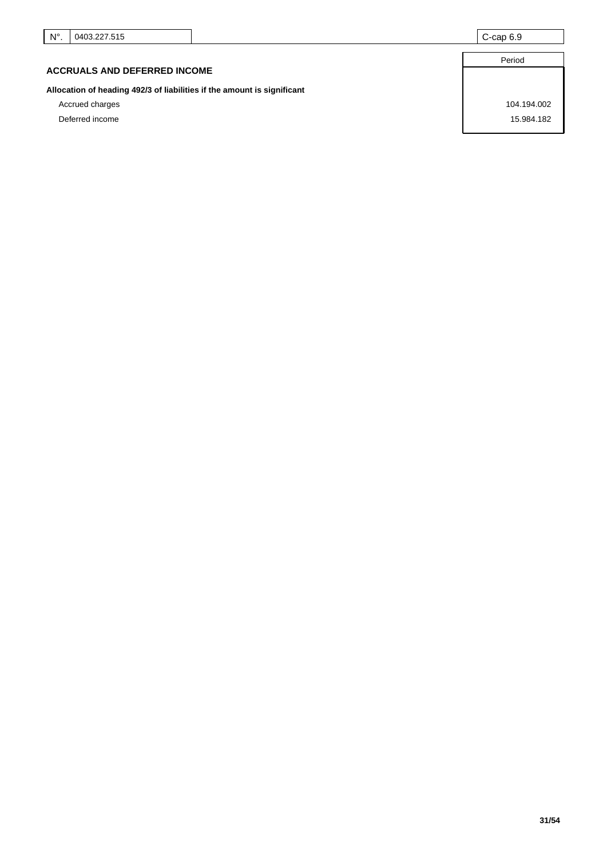## **ACCRUALS AND DEFERRED INCOME**

**Allocation of heading 492/3 of liabilities if the amount is significant**

Accrued charges 104.194.002 Deferred income 15.984.182

Period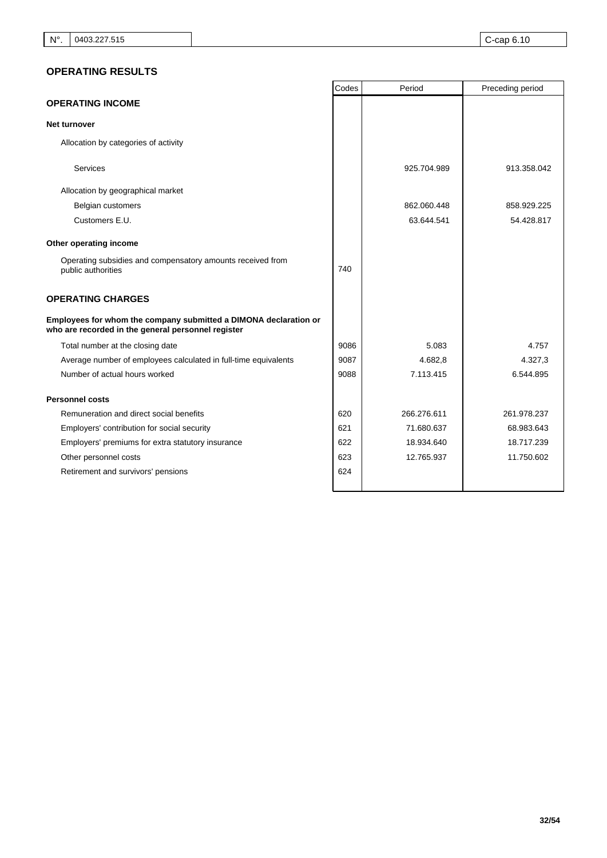# **OPERATING RESULTS**

|                                                                                                                        | Codes | Period      | Preceding period |
|------------------------------------------------------------------------------------------------------------------------|-------|-------------|------------------|
| <b>OPERATING INCOME</b>                                                                                                |       |             |                  |
| Net turnover                                                                                                           |       |             |                  |
| Allocation by categories of activity                                                                                   |       |             |                  |
| <b>Services</b>                                                                                                        |       | 925.704.989 | 913.358.042      |
| Allocation by geographical market                                                                                      |       |             |                  |
| Belgian customers                                                                                                      |       | 862.060.448 | 858.929.225      |
| Customers E.U.                                                                                                         |       | 63.644.541  | 54.428.817       |
| Other operating income                                                                                                 |       |             |                  |
| Operating subsidies and compensatory amounts received from<br>public authorities                                       | 740   |             |                  |
| <b>OPERATING CHARGES</b>                                                                                               |       |             |                  |
| Employees for whom the company submitted a DIMONA declaration or<br>who are recorded in the general personnel register |       |             |                  |
| Total number at the closing date                                                                                       | 9086  | 5.083       | 4.757            |
| Average number of employees calculated in full-time equivalents                                                        | 9087  | 4.682.8     | 4.327,3          |
| Number of actual hours worked                                                                                          | 9088  | 7.113.415   | 6.544.895        |
| <b>Personnel costs</b>                                                                                                 |       |             |                  |
| Remuneration and direct social benefits                                                                                | 620   | 266.276.611 | 261.978.237      |
| Employers' contribution for social security                                                                            | 621   | 71.680.637  | 68.983.643       |
| Employers' premiums for extra statutory insurance                                                                      | 622   | 18.934.640  | 18.717.239       |
| Other personnel costs                                                                                                  | 623   | 12.765.937  | 11.750.602       |
| Retirement and survivors' pensions                                                                                     | 624   |             |                  |
|                                                                                                                        |       |             |                  |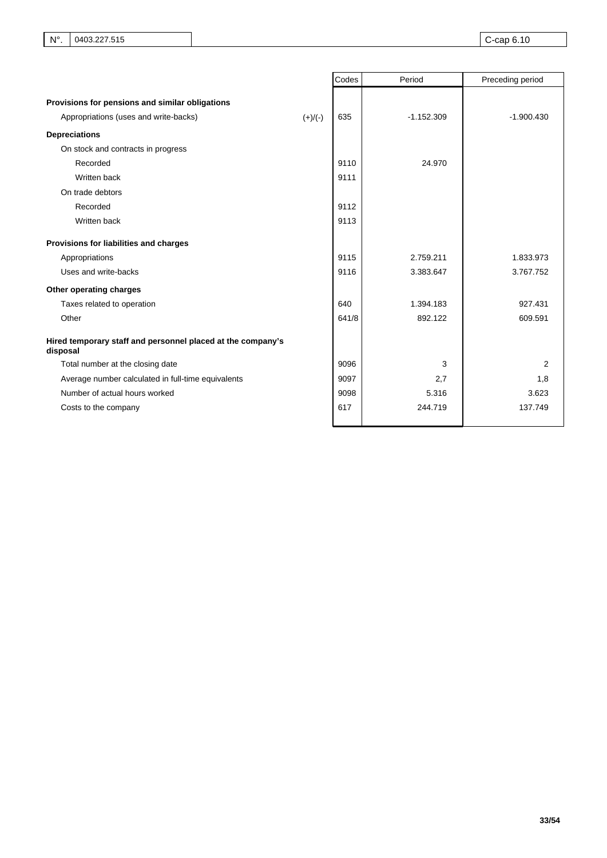|                                                                         | Codes | Period       | Preceding period |
|-------------------------------------------------------------------------|-------|--------------|------------------|
| Provisions for pensions and similar obligations                         |       |              |                  |
| Appropriations (uses and write-backs)<br>$(+)/(-)$                      | 635   | $-1.152.309$ | $-1.900.430$     |
|                                                                         |       |              |                  |
| <b>Depreciations</b>                                                    |       |              |                  |
| On stock and contracts in progress                                      |       |              |                  |
| Recorded                                                                | 9110  | 24.970       |                  |
| Written back                                                            | 9111  |              |                  |
| On trade debtors                                                        |       |              |                  |
| Recorded                                                                | 9112  |              |                  |
| Written back                                                            | 9113  |              |                  |
| Provisions for liabilities and charges                                  |       |              |                  |
| Appropriations                                                          | 9115  | 2.759.211    | 1.833.973        |
| Uses and write-backs                                                    | 9116  | 3.383.647    | 3.767.752        |
| Other operating charges                                                 |       |              |                  |
| Taxes related to operation                                              | 640   | 1.394.183    | 927.431          |
| Other                                                                   | 641/8 | 892.122      | 609.591          |
| Hired temporary staff and personnel placed at the company's<br>disposal |       |              |                  |
| Total number at the closing date                                        | 9096  | 3            | 2                |
| Average number calculated in full-time equivalents                      | 9097  | 2,7          | 1,8              |
| Number of actual hours worked                                           | 9098  | 5.316        | 3.623            |
| Costs to the company                                                    | 617   | 244.719      | 137.749          |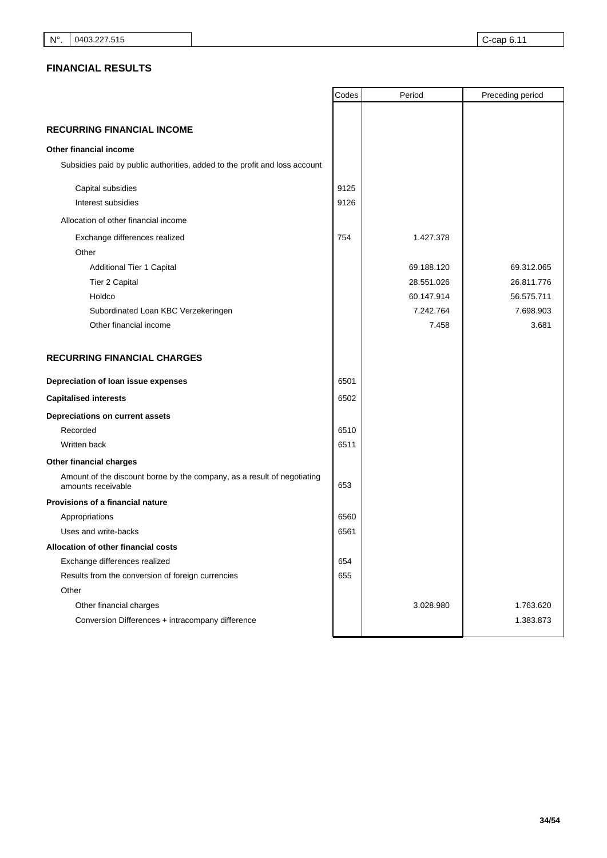# **FINANCIAL RESULTS**

|                                                                                               | Codes | Period     | Preceding period |
|-----------------------------------------------------------------------------------------------|-------|------------|------------------|
|                                                                                               |       |            |                  |
| <b>RECURRING FINANCIAL INCOME</b>                                                             |       |            |                  |
| Other financial income                                                                        |       |            |                  |
| Subsidies paid by public authorities, added to the profit and loss account                    |       |            |                  |
| Capital subsidies                                                                             | 9125  |            |                  |
| Interest subsidies                                                                            | 9126  |            |                  |
| Allocation of other financial income                                                          |       |            |                  |
| Exchange differences realized                                                                 | 754   | 1.427.378  |                  |
| Other                                                                                         |       |            |                  |
| Additional Tier 1 Capital                                                                     |       | 69.188.120 | 69.312.065       |
| Tier 2 Capital                                                                                |       | 28.551.026 | 26.811.776       |
| Holdco                                                                                        |       | 60.147.914 | 56.575.711       |
| Subordinated Loan KBC Verzekeringen                                                           |       | 7.242.764  | 7.698.903        |
| Other financial income                                                                        |       | 7.458      | 3.681            |
| <b>RECURRING FINANCIAL CHARGES</b>                                                            |       |            |                  |
| Depreciation of loan issue expenses                                                           | 6501  |            |                  |
| <b>Capitalised interests</b>                                                                  | 6502  |            |                  |
| Depreciations on current assets                                                               |       |            |                  |
| Recorded                                                                                      | 6510  |            |                  |
| Written back                                                                                  | 6511  |            |                  |
| Other financial charges                                                                       |       |            |                  |
| Amount of the discount borne by the company, as a result of negotiating<br>amounts receivable | 653   |            |                  |
| Provisions of a financial nature                                                              |       |            |                  |
| Appropriations                                                                                | 6560  |            |                  |
| Uses and write-backs                                                                          | 6561  |            |                  |
| Allocation of other financial costs                                                           |       |            |                  |
| Exchange differences realized                                                                 | 654   |            |                  |
| Results from the conversion of foreign currencies                                             | 655   |            |                  |
| Other                                                                                         |       |            |                  |
| Other financial charges                                                                       |       | 3.028.980  | 1.763.620        |
| Conversion Differences + intracompany difference                                              |       |            | 1.383.873        |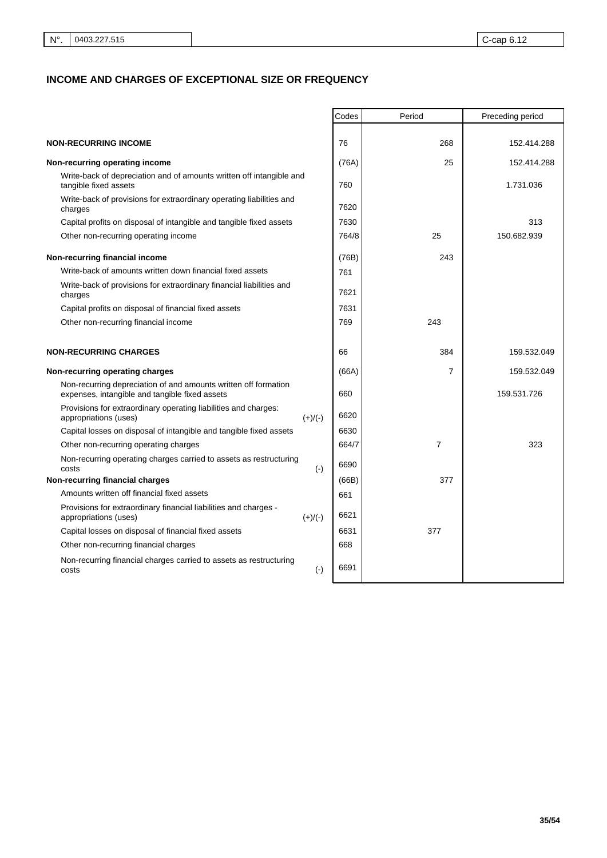# **INCOME AND CHARGES OF EXCEPTIONAL SIZE OR FREQUENCY**

|                                                                                                                   | Codes | Period         | Preceding period |
|-------------------------------------------------------------------------------------------------------------------|-------|----------------|------------------|
|                                                                                                                   |       |                |                  |
| <b>NON-RECURRING INCOME</b>                                                                                       | 76    | 268            | 152.414.288      |
| Non-recurring operating income                                                                                    | (76A) | 25             | 152.414.288      |
| Write-back of depreciation and of amounts written off intangible and<br>tangible fixed assets                     | 760   |                | 1.731.036        |
| Write-back of provisions for extraordinary operating liabilities and<br>charges                                   | 7620  |                |                  |
| Capital profits on disposal of intangible and tangible fixed assets                                               | 7630  |                | 313              |
| Other non-recurring operating income                                                                              | 764/8 | 25             | 150.682.939      |
| Non-recurring financial income                                                                                    | (76B) | 243            |                  |
| Write-back of amounts written down financial fixed assets                                                         | 761   |                |                  |
| Write-back of provisions for extraordinary financial liabilities and<br>charges                                   | 7621  |                |                  |
| Capital profits on disposal of financial fixed assets                                                             | 7631  |                |                  |
| Other non-recurring financial income                                                                              | 769   | 243            |                  |
|                                                                                                                   |       |                |                  |
| <b>NON-RECURRING CHARGES</b>                                                                                      | 66    | 384            | 159.532.049      |
| Non-recurring operating charges                                                                                   | (66A) | $\overline{7}$ | 159.532.049      |
| Non-recurring depreciation of and amounts written off formation<br>expenses, intangible and tangible fixed assets | 660   |                | 159.531.726      |
| Provisions for extraordinary operating liabilities and charges:<br>appropriations (uses)<br>$(+)/(-)$             | 6620  |                |                  |
| Capital losses on disposal of intangible and tangible fixed assets                                                | 6630  |                |                  |
| Other non-recurring operating charges                                                                             | 664/7 | 7              | 323              |
| Non-recurring operating charges carried to assets as restructuring<br>$(-)$<br>costs                              | 6690  |                |                  |
| Non-recurring financial charges                                                                                   | (66B) | 377            |                  |
| Amounts written off financial fixed assets                                                                        | 661   |                |                  |
| Provisions for extraordinary financial liabilities and charges -<br>appropriations (uses)<br>$(+)/(-)$            | 6621  |                |                  |
| Capital losses on disposal of financial fixed assets                                                              | 6631  | 377            |                  |
| Other non-recurring financial charges                                                                             | 668   |                |                  |
| Non-recurring financial charges carried to assets as restructuring<br>$(\cdot)$<br>costs                          | 6691  |                |                  |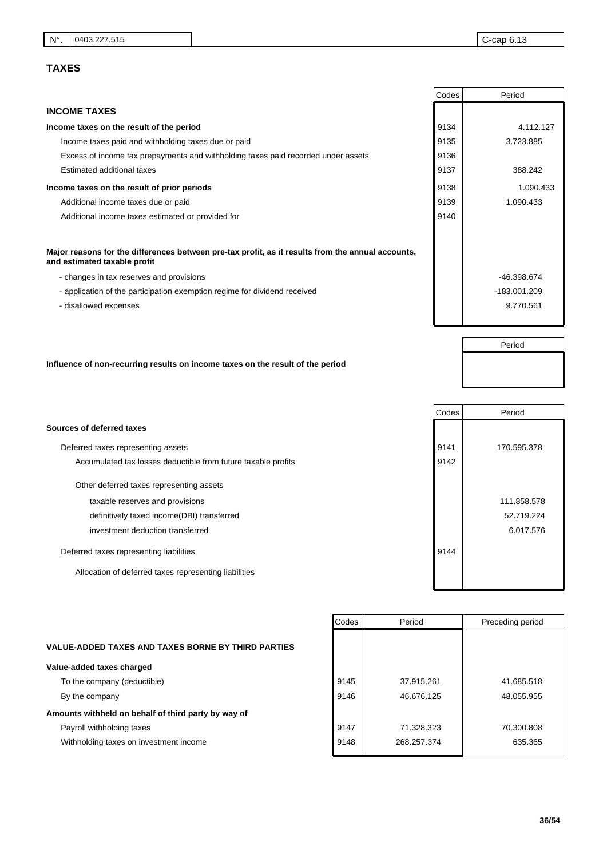# **TAXES**

Period

|                                                                                                                                   | Codes | Period       |
|-----------------------------------------------------------------------------------------------------------------------------------|-------|--------------|
| <b>INCOME TAXES</b>                                                                                                               |       |              |
| Income taxes on the result of the period                                                                                          | 9134  | 4.112.127    |
| Income taxes paid and withholding taxes due or paid                                                                               | 9135  | 3.723.885    |
| Excess of income tax prepayments and withholding taxes paid recorded under assets                                                 | 9136  |              |
| Estimated additional taxes                                                                                                        | 9137  | 388.242      |
| Income taxes on the result of prior periods                                                                                       | 9138  | 1.090.433    |
| Additional income taxes due or paid                                                                                               | 9139  | 1.090.433    |
| Additional income taxes estimated or provided for                                                                                 | 9140  |              |
|                                                                                                                                   |       |              |
| Major reasons for the differences between pre-tax profit, as it results from the annual accounts,<br>and estimated taxable profit |       |              |
| - changes in tax reserves and provisions                                                                                          |       | -46.398.674  |
| - application of the participation exemption regime for dividend received                                                         |       | -183.001.209 |
| - disallowed expenses                                                                                                             |       | 9.770.561    |
|                                                                                                                                   |       |              |

# **Influence of non-recurring results on income taxes on the result of the period**

|                                                               | Codes | Period      |
|---------------------------------------------------------------|-------|-------------|
| Sources of deferred taxes                                     |       |             |
| Deferred taxes representing assets                            | 9141  | 170.595.378 |
| Accumulated tax losses deductible from future taxable profits | 9142  |             |
| Other deferred taxes representing assets                      |       |             |
| taxable reserves and provisions                               |       | 111.858.578 |
| definitively taxed income(DBI) transferred                    |       | 52.719.224  |
| investment deduction transferred                              |       | 6.017.576   |
| Deferred taxes representing liabilities                       | 9144  |             |
| Allocation of deferred taxes representing liabilities         |       |             |
|                                                               |       |             |

### **VALUE-ADDED TAXES AND TAXES BORNE BY THIRD PARTIES**

### **Value-added taxes charged**

To the company (deductible) By the company

# **Amounts withheld on behalf of third party by way of**

Payroll withholding taxes

Withholding taxes on investment income

| Codes | Period      | Preceding period |
|-------|-------------|------------------|
|       |             |                  |
|       |             |                  |
|       |             |                  |
| 9145  | 37.915.261  | 41.685.518       |
| 9146  | 46.676.125  | 48.055.955       |
|       |             |                  |
| 9147  | 71.328.323  | 70.300.808       |
| 9148  | 268.257.374 | 635.365          |
|       |             |                  |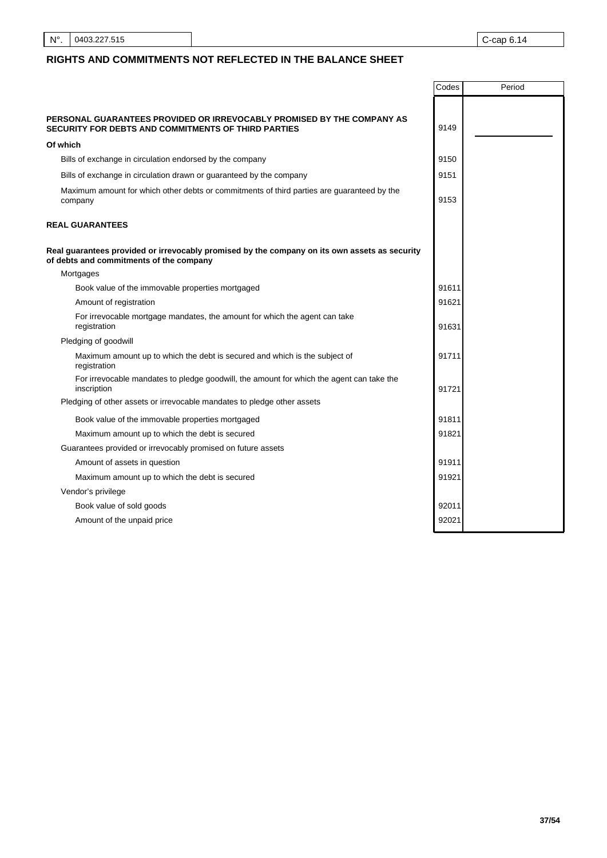N°. 0403.227.515 C-cap 6.14

# **RIGHTS AND COMMITMENTS NOT REFLECTED IN THE BALANCE SHEET**

| PERSONAL GUARANTEES PROVIDED OR IRREVOCABLY PROMISED BY THE COMPANY AS<br>9149<br>SECURITY FOR DEBTS AND COMMITMENTS OF THIRD PARTIES    |  |
|------------------------------------------------------------------------------------------------------------------------------------------|--|
|                                                                                                                                          |  |
|                                                                                                                                          |  |
| Of which                                                                                                                                 |  |
| 9150<br>Bills of exchange in circulation endorsed by the company                                                                         |  |
| 9151<br>Bills of exchange in circulation drawn or guaranteed by the company                                                              |  |
| Maximum amount for which other debts or commitments of third parties are guaranteed by the<br>9153<br>company                            |  |
| <b>REAL GUARANTEES</b>                                                                                                                   |  |
| Real guarantees provided or irrevocably promised by the company on its own assets as security<br>of debts and commitments of the company |  |
| Mortgages                                                                                                                                |  |
| Book value of the immovable properties mortgaged<br>91611                                                                                |  |
| 91621<br>Amount of registration                                                                                                          |  |
| For irrevocable mortgage mandates, the amount for which the agent can take<br>registration<br>91631                                      |  |
| Pledging of goodwill                                                                                                                     |  |
| 91711<br>Maximum amount up to which the debt is secured and which is the subject of<br>registration                                      |  |
| For irrevocable mandates to pledge goodwill, the amount for which the agent can take the<br>inscription<br>91721                         |  |
| Pledging of other assets or irrevocable mandates to pledge other assets                                                                  |  |
| 91811<br>Book value of the immovable properties mortgaged                                                                                |  |
| 91821<br>Maximum amount up to which the debt is secured                                                                                  |  |
| Guarantees provided or irrevocably promised on future assets                                                                             |  |
| 91911<br>Amount of assets in question                                                                                                    |  |
| 91921<br>Maximum amount up to which the debt is secured                                                                                  |  |
| Vendor's privilege                                                                                                                       |  |
| 92011<br>Book value of sold goods                                                                                                        |  |
| 92021<br>Amount of the unpaid price                                                                                                      |  |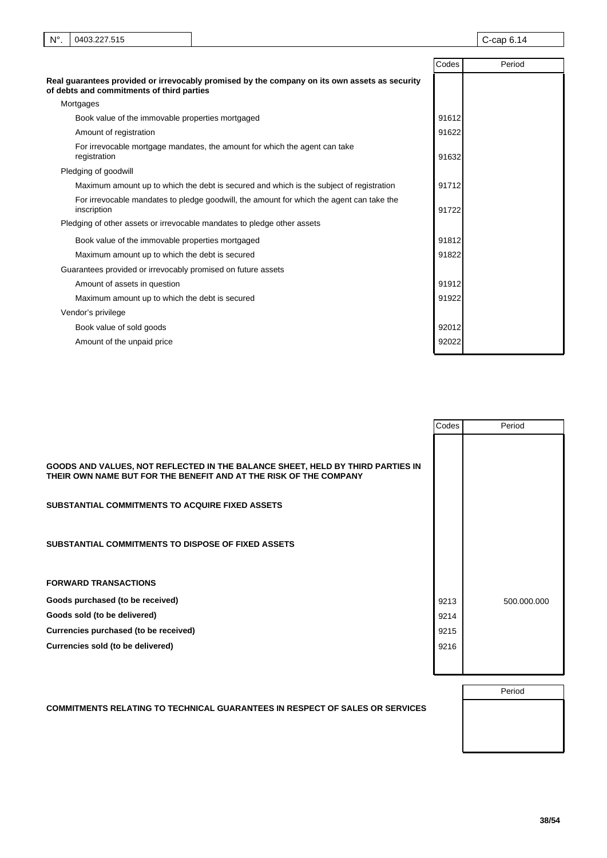| $N^{\circ}$ . | 0403.227.515                                                 |                                                                                               |       | $C$ -cap $6.14$ |
|---------------|--------------------------------------------------------------|-----------------------------------------------------------------------------------------------|-------|-----------------|
|               |                                                              |                                                                                               | Codes | Period          |
|               | of debts and commitments of third parties                    | Real guarantees provided or irrevocably promised by the company on its own assets as security |       |                 |
|               | Mortgages                                                    |                                                                                               |       |                 |
|               | Book value of the immovable properties mortgaged             |                                                                                               | 91612 |                 |
|               | Amount of registration                                       |                                                                                               | 91622 |                 |
|               | registration                                                 | For irrevocable mortgage mandates, the amount for which the agent can take                    | 91632 |                 |
|               | Pledging of goodwill                                         |                                                                                               |       |                 |
|               |                                                              | Maximum amount up to which the debt is secured and which is the subject of registration       | 91712 |                 |
|               | inscription                                                  | For irrevocable mandates to pledge goodwill, the amount for which the agent can take the      | 91722 |                 |
|               |                                                              | Pledging of other assets or irrevocable mandates to pledge other assets                       |       |                 |
|               | Book value of the immovable properties mortgaged             |                                                                                               | 91812 |                 |
|               | Maximum amount up to which the debt is secured               |                                                                                               | 91822 |                 |
|               | Guarantees provided or irrevocably promised on future assets |                                                                                               |       |                 |
|               | Amount of assets in question                                 |                                                                                               | 91912 |                 |
|               | Maximum amount up to which the debt is secured               |                                                                                               | 91922 |                 |
|               | Vendor's privilege                                           |                                                                                               |       |                 |
|               | Book value of sold goods                                     |                                                                                               | 92012 |                 |
|               | Amount of the unpaid price                                   |                                                                                               | 92022 |                 |

|                                                                                                                                                                                                                                                                            | Codes | Period      |
|----------------------------------------------------------------------------------------------------------------------------------------------------------------------------------------------------------------------------------------------------------------------------|-------|-------------|
| GOODS AND VALUES, NOT REFLECTED IN THE BALANCE SHEET, HELD BY THIRD PARTIES IN<br>THEIR OWN NAME BUT FOR THE BENEFIT AND AT THE RISK OF THE COMPANY<br><b>SUBSTANTIAL COMMITMENTS TO ACQUIRE FIXED ASSETS</b><br><b>SUBSTANTIAL COMMITMENTS TO DISPOSE OF FIXED ASSETS</b> |       |             |
|                                                                                                                                                                                                                                                                            |       |             |
|                                                                                                                                                                                                                                                                            |       |             |
| <b>FORWARD TRANSACTIONS</b>                                                                                                                                                                                                                                                |       |             |
| Goods purchased (to be received)                                                                                                                                                                                                                                           | 9213  | 500.000.000 |
| Goods sold (to be delivered)                                                                                                                                                                                                                                               | 9214  |             |
| Currencies purchased (to be received)                                                                                                                                                                                                                                      | 9215  |             |
| Currencies sold (to be delivered)                                                                                                                                                                                                                                          | 9216  |             |
|                                                                                                                                                                                                                                                                            |       |             |

## **COMMITMENTS RELATING TO TECHNICAL GUARANTEES IN RESPECT OF SALES OR SERVICES**

Period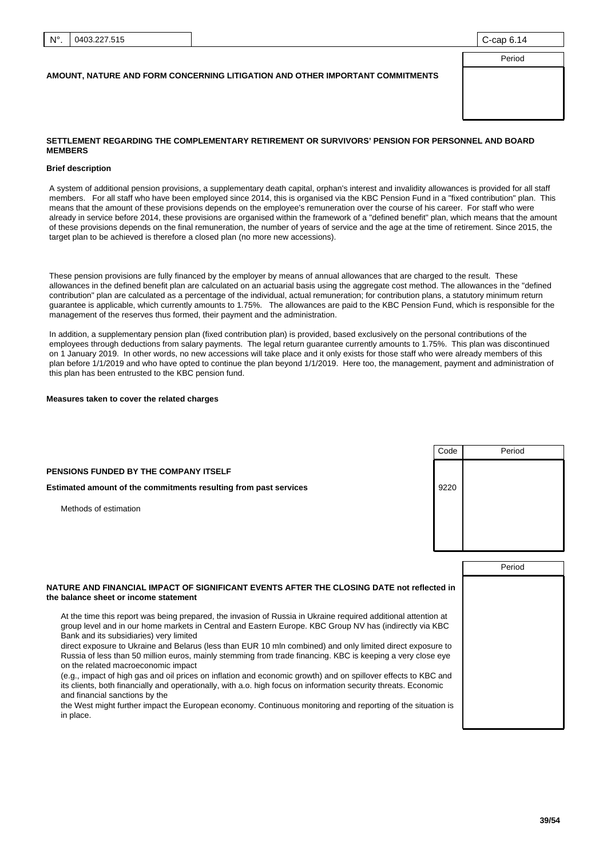### **AMOUNT, NATURE AND FORM CONCERNING LITIGATION AND OTHER IMPORTANT COMMITMENTS**

| 0 0ap 0.17 |  |
|------------|--|
|            |  |
| Period     |  |
|            |  |
|            |  |
|            |  |
|            |  |
|            |  |
|            |  |

### **SETTLEMENT REGARDING THE COMPLEMENTARY RETIREMENT OR SURVIVORS' PENSION FOR PERSONNEL AND BOARD MEMBERS**

#### **Brief description**

A system of additional pension provisions, a supplementary death capital, orphan's interest and invalidity allowances is provided for all staff members. For all staff who have been employed since 2014, this is organised via the KBC Pension Fund in a "fixed contribution" plan. This means that the amount of these provisions depends on the employee's remuneration over the course of his career. For staff who were already in service before 2014, these provisions are organised within the framework of a "defined benefit" plan, which means that the amount of these provisions depends on the final remuneration, the number of years of service and the age at the time of retirement. Since 2015, the target plan to be achieved is therefore a closed plan (no more new accessions).

These pension provisions are fully financed by the employer by means of annual allowances that are charged to the result. These allowances in the defined benefit plan are calculated on an actuarial basis using the aggregate cost method. The allowances in the "defined contribution" plan are calculated as a percentage of the individual, actual remuneration; for contribution plans, a statutory minimum return guarantee is applicable, which currently amounts to 1.75%. The allowances are paid to the KBC Pension Fund, which is responsible for the management of the reserves thus formed, their payment and the administration.

In addition, a supplementary pension plan (fixed contribution plan) is provided, based exclusively on the personal contributions of the employees through deductions from salary payments. The legal return guarantee currently amounts to 1.75%. This plan was discontinued on 1 January 2019. In other words, no new accessions will take place and it only exists for those staff who were already members of this plan before 1/1/2019 and who have opted to continue the plan beyond 1/1/2019. Here too, the management, payment and administration of this plan has been entrusted to the KBC pension fund.

#### **Measures taken to cover the related charges**

|                                                                                                                                                                                                                                                                      | Code | Period |
|----------------------------------------------------------------------------------------------------------------------------------------------------------------------------------------------------------------------------------------------------------------------|------|--------|
| <b>PENSIONS FUNDED BY THE COMPANY ITSELF</b>                                                                                                                                                                                                                         |      |        |
| Estimated amount of the commitments resulting from past services                                                                                                                                                                                                     | 9220 |        |
| Methods of estimation                                                                                                                                                                                                                                                |      |        |
|                                                                                                                                                                                                                                                                      |      |        |
|                                                                                                                                                                                                                                                                      |      |        |
|                                                                                                                                                                                                                                                                      |      |        |
|                                                                                                                                                                                                                                                                      |      | Period |
| NATURE AND FINANCIAL IMPACT OF SIGNIFICANT EVENTS AFTER THE CLOSING DATE not reflected in<br>the balance sheet or income statement                                                                                                                                   |      |        |
| At the time this report was being prepared, the invasion of Russia in Ukraine required additional attention at<br>group level and in our home markets in Central and Eastern Europe. KBC Group NV has (indirectly via KBC<br>Bank and its subsidiaries) very limited |      |        |
| direct exposure to Ukraine and Belarus (less than EUR 10 mln combined) and only limited direct exposure to<br>Russia of less than 50 million euros, mainly stemming from trade financing. KBC is keeping a very close eye<br>on the related macroeconomic impact     |      |        |
| (e.g., impact of high gas and oil prices on inflation and economic growth) and on spillover effects to KBC and<br>its clients, both financially and operationally, with a.o. high focus on information security threats. Economic<br>and financial sanctions by the  |      |        |
| the West might further impact the European economy. Continuous monitoring and reporting of the situation is<br>in place.                                                                                                                                             |      |        |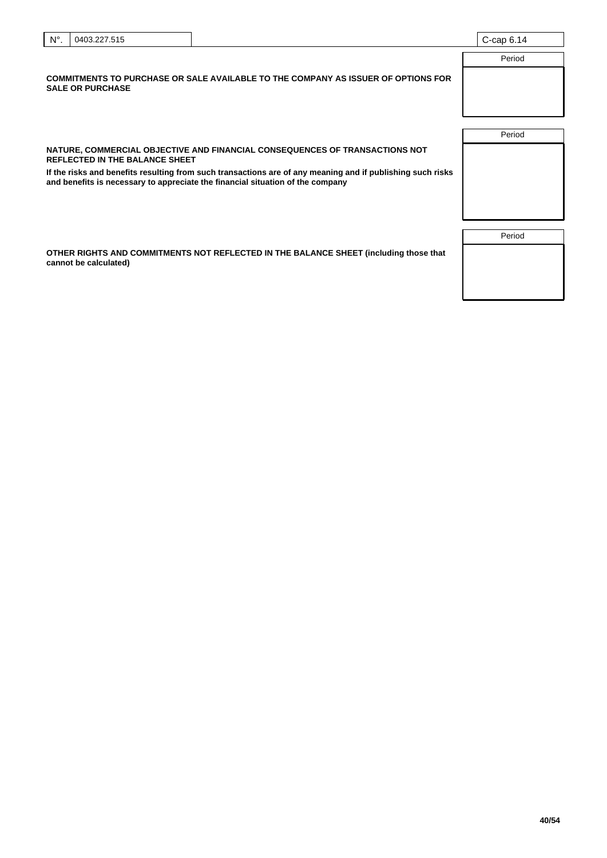| $N^{\circ}$ . | 0403.227.515                          |                                                                                                                                                                                              | $C$ -cap $6.14$ |
|---------------|---------------------------------------|----------------------------------------------------------------------------------------------------------------------------------------------------------------------------------------------|-----------------|
|               |                                       |                                                                                                                                                                                              | Period          |
|               | <b>SALE OR PURCHASE</b>               | COMMITMENTS TO PURCHASE OR SALE AVAILABLE TO THE COMPANY AS ISSUER OF OPTIONS FOR                                                                                                            |                 |
|               |                                       |                                                                                                                                                                                              | Period          |
|               | <b>REFLECTED IN THE BALANCE SHEET</b> | NATURE, COMMERCIAL OBJECTIVE AND FINANCIAL CONSEQUENCES OF TRANSACTIONS NOT                                                                                                                  |                 |
|               |                                       | If the risks and benefits resulting from such transactions are of any meaning and if publishing such risks<br>and benefits is necessary to appreciate the financial situation of the company |                 |

**OTHER RIGHTS AND COMMITMENTS NOT REFLECTED IN THE BALANCE SHEET (including those that cannot be calculated)**

| Period |  |
|--------|--|
|        |  |
|        |  |
|        |  |
|        |  |
|        |  |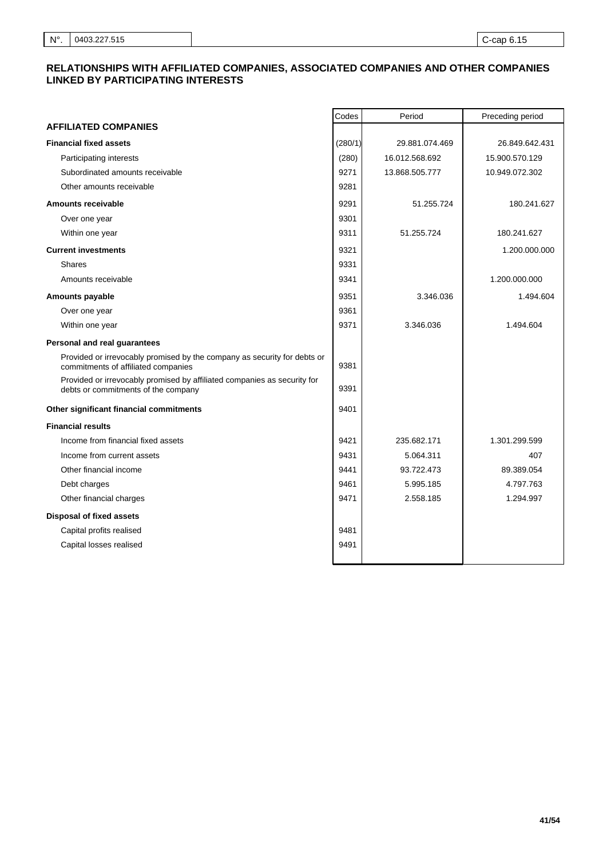# **RELATIONSHIPS WITH AFFILIATED COMPANIES, ASSOCIATED COMPANIES AND OTHER COMPANIES LINKED BY PARTICIPATING INTERESTS**

|                                                                                                                 | Codes   | Period         | Preceding period |
|-----------------------------------------------------------------------------------------------------------------|---------|----------------|------------------|
| <b>AFFILIATED COMPANIES</b>                                                                                     |         |                |                  |
| <b>Financial fixed assets</b>                                                                                   | (280/1) | 29.881.074.469 | 26.849.642.431   |
| Participating interests                                                                                         | (280)   | 16.012.568.692 | 15.900.570.129   |
| Subordinated amounts receivable                                                                                 | 9271    | 13.868.505.777 | 10.949.072.302   |
| Other amounts receivable                                                                                        | 9281    |                |                  |
| <b>Amounts receivable</b>                                                                                       | 9291    | 51.255.724     | 180.241.627      |
| Over one year                                                                                                   | 9301    |                |                  |
| Within one year                                                                                                 | 9311    | 51.255.724     | 180.241.627      |
| <b>Current investments</b>                                                                                      | 9321    |                | 1.200.000.000    |
| <b>Shares</b>                                                                                                   | 9331    |                |                  |
| Amounts receivable                                                                                              | 9341    |                | 1.200.000.000    |
| <b>Amounts payable</b>                                                                                          | 9351    | 3.346.036      | 1.494.604        |
| Over one year                                                                                                   | 9361    |                |                  |
| Within one year                                                                                                 | 9371    | 3.346.036      | 1.494.604        |
| Personal and real guarantees                                                                                    |         |                |                  |
| Provided or irrevocably promised by the company as security for debts or<br>commitments of affiliated companies | 9381    |                |                  |
| Provided or irrevocably promised by affiliated companies as security for<br>debts or commitments of the company | 9391    |                |                  |
| Other significant financial commitments                                                                         | 9401    |                |                  |
| <b>Financial results</b>                                                                                        |         |                |                  |
| Income from financial fixed assets                                                                              | 9421    | 235.682.171    | 1.301.299.599    |
| Income from current assets                                                                                      | 9431    | 5.064.311      | 407              |
| Other financial income                                                                                          | 9441    | 93.722.473     | 89.389.054       |
| Debt charges                                                                                                    | 9461    | 5.995.185      | 4.797.763        |
| Other financial charges                                                                                         | 9471    | 2.558.185      | 1.294.997        |
| <b>Disposal of fixed assets</b>                                                                                 |         |                |                  |
| Capital profits realised                                                                                        | 9481    |                |                  |
| Capital losses realised                                                                                         | 9491    |                |                  |
|                                                                                                                 |         |                |                  |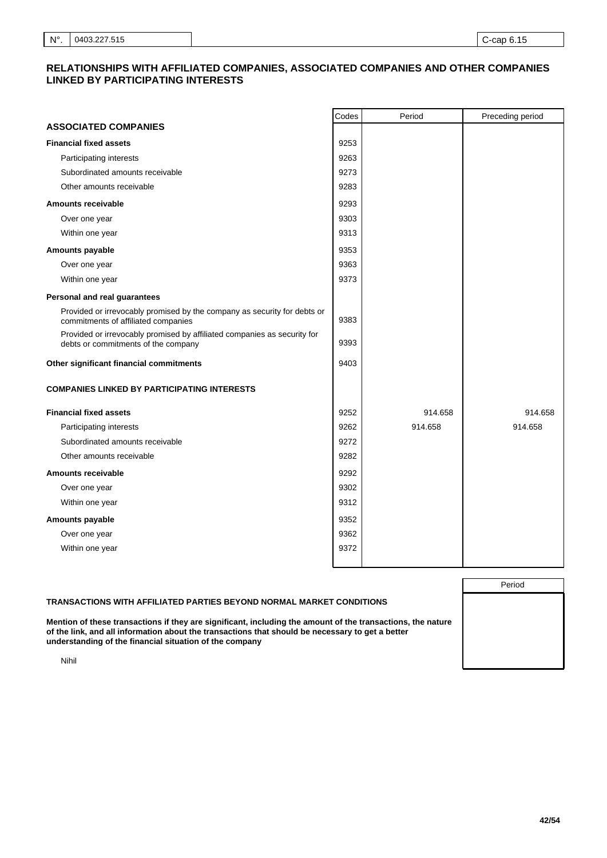# **RELATIONSHIPS WITH AFFILIATED COMPANIES, ASSOCIATED COMPANIES AND OTHER COMPANIES LINKED BY PARTICIPATING INTERESTS**

|                                                                                                                 | Codes | Period  | Preceding period |
|-----------------------------------------------------------------------------------------------------------------|-------|---------|------------------|
| <b>ASSOCIATED COMPANIES</b>                                                                                     |       |         |                  |
| <b>Financial fixed assets</b>                                                                                   | 9253  |         |                  |
| Participating interests                                                                                         | 9263  |         |                  |
| Subordinated amounts receivable                                                                                 | 9273  |         |                  |
| Other amounts receivable                                                                                        | 9283  |         |                  |
| <b>Amounts receivable</b>                                                                                       | 9293  |         |                  |
| Over one year                                                                                                   | 9303  |         |                  |
| Within one year                                                                                                 | 9313  |         |                  |
| Amounts payable                                                                                                 | 9353  |         |                  |
| Over one year                                                                                                   | 9363  |         |                  |
| Within one year                                                                                                 | 9373  |         |                  |
| Personal and real guarantees                                                                                    |       |         |                  |
| Provided or irrevocably promised by the company as security for debts or<br>commitments of affiliated companies | 9383  |         |                  |
| Provided or irrevocably promised by affiliated companies as security for<br>debts or commitments of the company | 9393  |         |                  |
| Other significant financial commitments                                                                         | 9403  |         |                  |
| <b>COMPANIES LINKED BY PARTICIPATING INTERESTS</b>                                                              |       |         |                  |
| <b>Financial fixed assets</b>                                                                                   | 9252  | 914.658 | 914.658          |
| Participating interests                                                                                         | 9262  | 914.658 | 914.658          |
| Subordinated amounts receivable                                                                                 | 9272  |         |                  |
| Other amounts receivable                                                                                        | 9282  |         |                  |
| <b>Amounts receivable</b>                                                                                       | 9292  |         |                  |
| Over one year                                                                                                   | 9302  |         |                  |
| Within one year                                                                                                 | 9312  |         |                  |
| Amounts payable                                                                                                 | 9352  |         |                  |
| Over one year                                                                                                   | 9362  |         |                  |
| Within one year                                                                                                 | 9372  |         |                  |
|                                                                                                                 |       |         |                  |

|                                                                                                                                                                                                                                                                            | Period |
|----------------------------------------------------------------------------------------------------------------------------------------------------------------------------------------------------------------------------------------------------------------------------|--------|
| TRANSACTIONS WITH AFFILIATED PARTIES BEYOND NORMAL MARKET CONDITIONS                                                                                                                                                                                                       |        |
| Mention of these transactions if they are significant, including the amount of the transactions, the nature<br>of the link, and all information about the transactions that should be necessary to get a better<br>understanding of the financial situation of the company |        |
| Nihil                                                                                                                                                                                                                                                                      |        |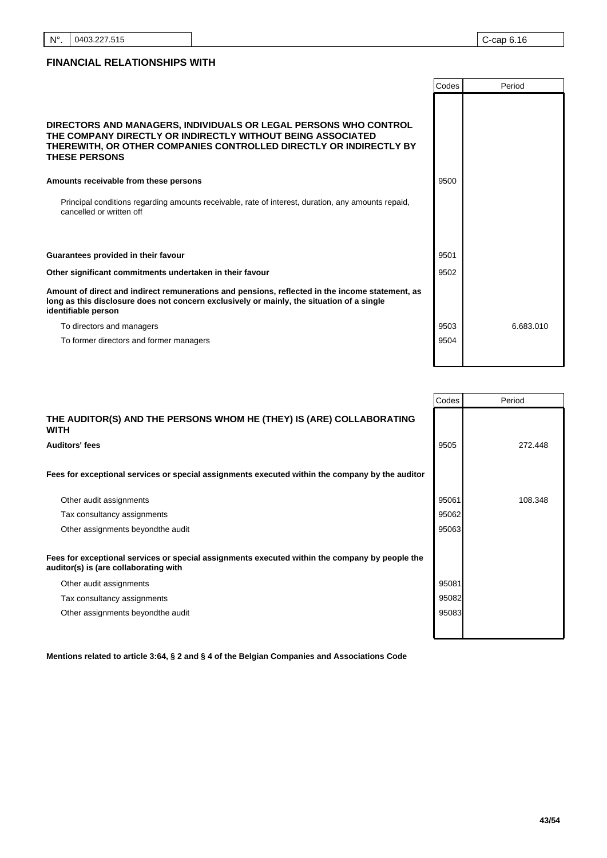# **FINANCIAL RELATIONSHIPS WITH**

|                                                                                                                                                                                                                               | Codes | Period    |
|-------------------------------------------------------------------------------------------------------------------------------------------------------------------------------------------------------------------------------|-------|-----------|
| DIRECTORS AND MANAGERS, INDIVIDUALS OR LEGAL PERSONS WHO CONTROL<br>THE COMPANY DIRECTLY OR INDIRECTLY WITHOUT BEING ASSOCIATED<br>THEREWITH, OR OTHER COMPANIES CONTROLLED DIRECTLY OR INDIRECTLY BY<br><b>THESE PERSONS</b> |       |           |
| Amounts receivable from these persons                                                                                                                                                                                         | 9500  |           |
| Principal conditions regarding amounts receivable, rate of interest, duration, any amounts repaid,<br>cancelled or written off                                                                                                |       |           |
| Guarantees provided in their favour                                                                                                                                                                                           | 9501  |           |
| Other significant commitments undertaken in their favour                                                                                                                                                                      | 9502  |           |
| Amount of direct and indirect remunerations and pensions, reflected in the income statement, as<br>long as this disclosure does not concern exclusively or mainly, the situation of a single<br>identifiable person           |       |           |
| To directors and managers                                                                                                                                                                                                     | 9503  | 6.683.010 |
| To former directors and former managers                                                                                                                                                                                       | 9504  |           |
|                                                                                                                                                                                                                               |       |           |

ı

|                                                                                                                                         | Codes | Period  |
|-----------------------------------------------------------------------------------------------------------------------------------------|-------|---------|
| THE AUDITOR(S) AND THE PERSONS WHOM HE (THEY) IS (ARE) COLLABORATING<br><b>WITH</b>                                                     |       |         |
| <b>Auditors' fees</b>                                                                                                                   | 9505  | 272.448 |
|                                                                                                                                         |       |         |
| Fees for exceptional services or special assignments executed within the company by the auditor                                         |       |         |
|                                                                                                                                         |       |         |
| Other audit assignments                                                                                                                 | 95061 | 108.348 |
| Tax consultancy assignments                                                                                                             | 95062 |         |
| Other assignments beyond the audit                                                                                                      | 95063 |         |
|                                                                                                                                         |       |         |
| Fees for exceptional services or special assignments executed within the company by people the<br>auditor(s) is (are collaborating with |       |         |
| Other audit assignments                                                                                                                 | 95081 |         |
| Tax consultancy assignments                                                                                                             | 95082 |         |
| Other assignments beyond the audit                                                                                                      | 95083 |         |
|                                                                                                                                         |       |         |

**Mentions related to article 3:64, § 2 and § 4 of the Belgian Companies and Associations Code**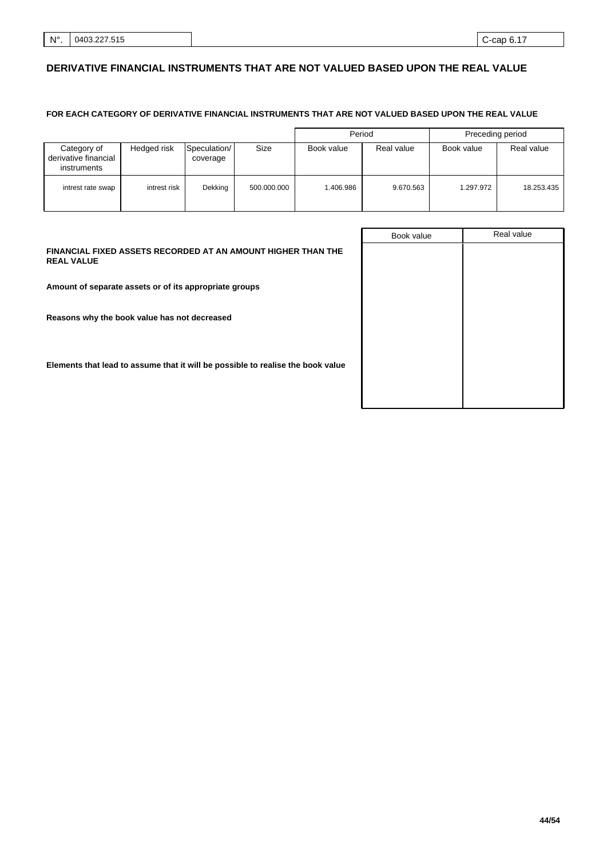# **DERIVATIVE FINANCIAL INSTRUMENTS THAT ARE NOT VALUED BASED UPON THE REAL VALUE**

## **FOR EACH CATEGORY OF DERIVATIVE FINANCIAL INSTRUMENTS THAT ARE NOT VALUED BASED UPON THE REAL VALUE**

|                                                    |              |                          |             | Period     |            | Preceding period |            |
|----------------------------------------------------|--------------|--------------------------|-------------|------------|------------|------------------|------------|
| Category of<br>derivative financial<br>instruments | Hedged risk  | Speculation/<br>coverage | Size        | Book value | Real value | Book value       | Real value |
| intrest rate swap                                  | intrest risk | Dekking                  | 500.000.000 | 1.406.986  | 9.670.563  | 1.297.972        | 18.253.435 |

|                                                                                   | Book value | Real value |
|-----------------------------------------------------------------------------------|------------|------------|
| FINANCIAL FIXED ASSETS RECORDED AT AN AMOUNT HIGHER THAN THE<br><b>REAL VALUE</b> |            |            |
| Amount of separate assets or of its appropriate groups                            |            |            |
| Reasons why the book value has not decreased                                      |            |            |
| Elements that lead to assume that it will be possible to realise the book value   |            |            |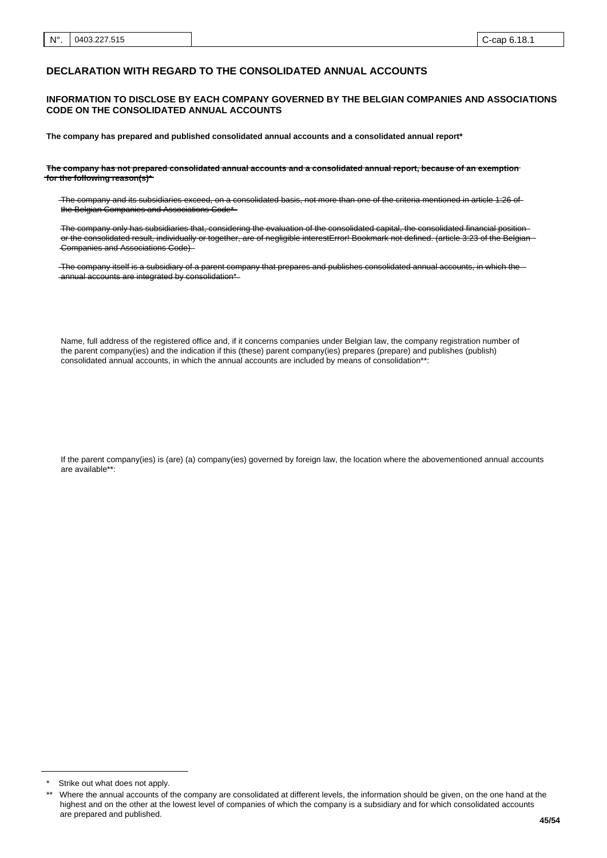### **DECLARATION WITH REGARD TO THE CONSOLIDATED ANNUAL ACCOUNTS**

### **INFORMATION TO DISCLOSE BY EACH COMPANY GOVERNED BY THE BELGIAN COMPANIES AND ASSOCIATIONS CODE ON THE CONSOLIDATED ANNUAL ACCOUNTS**

**The company has prepared and published consolidated annual accounts and a consolidated annual report\***

**The company has not prepared consolidated annual accounts and a consolidated annual report, because of an exemption for the following reason(s)\***

The company and its subsidiaries exceed, on a consolidated basis, not more than one of the criteria mentioned in article 1:26 of the Belgian Companies and Associations Code\*

The company only has subsidiaries that, considering the evaluation of the consolidated capital, the consolidated financial position or the consolidated result, individually or together, are of negligible interestError! Bookmark not defined. (article 3:23 of the Belgian Companies and Associations Code)

The company itself is a subsidiary of a parent company that prepares and publishes consolidated annual accounts, in which the -annual accounts are integrated by consolidation\*

Name, full address of the registered office and, if it concerns companies under Belgian law, the company registration number of the parent company(ies) and the indication if this (these) parent company(ies) prepares (prepare) and publishes (publish) consolidated annual accounts, in which the annual accounts are included by means of consolidation\*\*:

If the parent company(ies) is (are) (a) company(ies) governed by foreign law, the location where the abovementioned annual accounts are available\*\*:

Strike out what does not apply.

Where the annual accounts of the company are consolidated at different levels, the information should be given, on the one hand at the highest and on the other at the lowest level of companies of which the company is a subsidiary and for which consolidated accounts are prepared and published.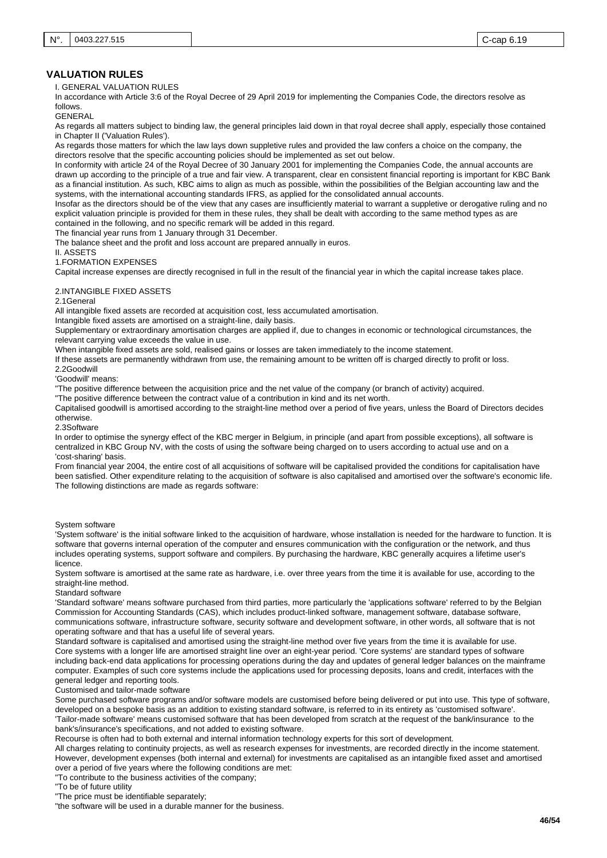I. GENERAL VALUATION RULES

In accordance with Article 3:6 of the Royal Decree of 29 April 2019 for implementing the Companies Code, the directors resolve as follows.

GENERAL

As regards all matters subject to binding law, the general principles laid down in that royal decree shall apply, especially those contained in Chapter II ('Valuation Rules').

As regards those matters for which the law lays down suppletive rules and provided the law confers a choice on the company, the directors resolve that the specific accounting policies should be implemented as set out below.

In conformity with article 24 of the Royal Decree of 30 January 2001 for implementing the Companies Code, the annual accounts are drawn up according to the principle of a true and fair view. A transparent, clear en consistent financial reporting is important for KBC Bank as a financial institution. As such, KBC aims to align as much as possible, within the possibilities of the Belgian accounting law and the systems, with the international accounting standards IFRS, as applied for the consolidated annual accounts.

Insofar as the directors should be of the view that any cases are insufficiently material to warrant a suppletive or derogative ruling and no explicit valuation principle is provided for them in these rules, they shall be dealt with according to the same method types as are contained in the following, and no specific remark will be added in this regard.

The financial year runs from 1 January through 31 December.

The balance sheet and the profit and loss account are prepared annually in euros.

II. ASSETS

1.FORMATION EXPENSES

Capital increase expenses are directly recognised in full in the result of the financial year in which the capital increase takes place.

#### 2.INTANGIBLE FIXED ASSETS

#### 2.1General

All intangible fixed assets are recorded at acquisition cost, less accumulated amortisation.

Intangible fixed assets are amortised on a straight-line, daily basis.

Supplementary or extraordinary amortisation charges are applied if, due to changes in economic or technological circumstances, the relevant carrying value exceeds the value in use.

When intangible fixed assets are sold, realised gains or losses are taken immediately to the income statement.

If these assets are permanently withdrawn from use, the remaining amount to be written off is charged directly to profit or loss.

2.2Goodwill

'Goodwill' means:

"The positive difference between the acquisition price and the net value of the company (or branch of activity) acquired.

"The positive difference between the contract value of a contribution in kind and its net worth.

Capitalised goodwill is amortised according to the straight-line method over a period of five years, unless the Board of Directors decides otherwise.

2.3Software

In order to optimise the synergy effect of the KBC merger in Belgium, in principle (and apart from possible exceptions), all software is centralized in KBC Group NV, with the costs of using the software being charged on to users according to actual use and on a 'cost-sharing' basis.

From financial year 2004, the entire cost of all acquisitions of software will be capitalised provided the conditions for capitalisation have been satisfied. Other expenditure relating to the acquisition of software is also capitalised and amortised over the software's economic life. The following distinctions are made as regards software:

#### System software

'System software' is the initial software linked to the acquisition of hardware, whose installation is needed for the hardware to function. It is software that governs internal operation of the computer and ensures communication with the configuration or the network, and thus includes operating systems, support software and compilers. By purchasing the hardware, KBC generally acquires a lifetime user's licence.

System software is amortised at the same rate as hardware, i.e. over three years from the time it is available for use, according to the straight-line method.

Standard software

'Standard software' means software purchased from third parties, more particularly the 'applications software' referred to by the Belgian Commission for Accounting Standards (CAS), which includes product-linked software, management software, database software, communications software, infrastructure software, security software and development software, in other words, all software that is not operating software and that has a useful life of several years.

Standard software is capitalised and amortised using the straight-line method over five years from the time it is available for use. Core systems with a longer life are amortised straight line over an eight-year period. 'Core systems' are standard types of software including back-end data applications for processing operations during the day and updates of general ledger balances on the mainframe computer. Examples of such core systems include the applications used for processing deposits, loans and credit, interfaces with the general ledger and reporting tools.

Customised and tailor-made software

Some purchased software programs and/or software models are customised before being delivered or put into use. This type of software, developed on a bespoke basis as an addition to existing standard software, is referred to in its entirety as 'customised software'. 'Tailor-made software' means customised software that has been developed from scratch at the request of the bank/insurance to the bank's/insurance's specifications, and not added to existing software.

Recourse is often had to both external and internal information technology experts for this sort of development.

All charges relating to continuity projects, as well as research expenses for investments, are recorded directly in the income statement. However, development expenses (both internal and external) for investments are capitalised as an intangible fixed asset and amortised over a period of five years where the following conditions are met:

"To contribute to the business activities of the company;

"To be of future utility

"The price must be identifiable separately;

"the software will be used in a durable manner for the business.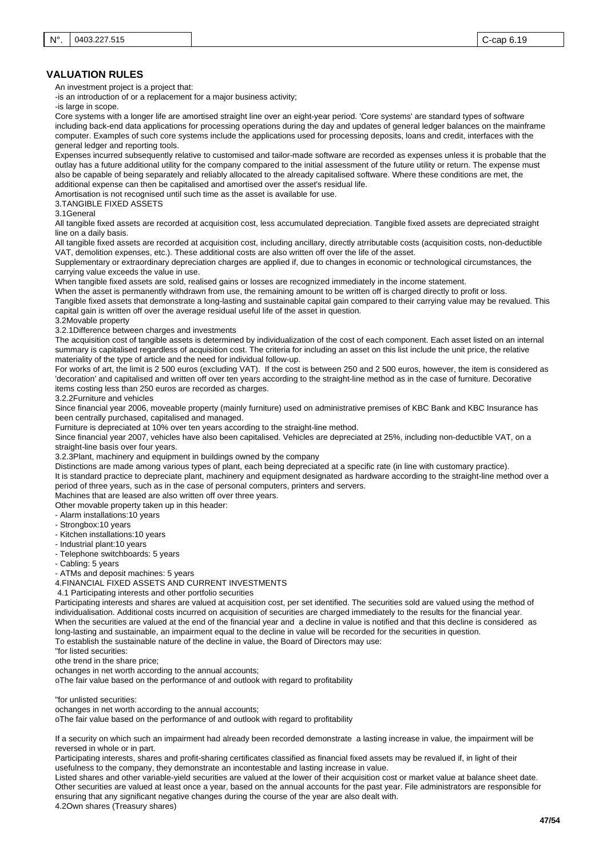An investment project is a project that:

-is an introduction of or a replacement for a major business activity;

-is large in scope.

Core systems with a longer life are amortised straight line over an eight-year period. 'Core systems' are standard types of software including back-end data applications for processing operations during the day and updates of general ledger balances on the mainframe computer. Examples of such core systems include the applications used for processing deposits, loans and credit, interfaces with the general ledger and reporting tools.

Expenses incurred subsequently relative to customised and tailor-made software are recorded as expenses unless it is probable that the outlay has a future additional utility for the company compared to the initial assessment of the future utility or return. The expense must also be capable of being separately and reliably allocated to the already capitalised software. Where these conditions are met, the additional expense can then be capitalised and amortised over the asset's residual life.

Amortisation is not recognised until such time as the asset is available for use.

3.TANGIBLE FIXED ASSETS

3.1General

All tangible fixed assets are recorded at acquisition cost, less accumulated depreciation. Tangible fixed assets are depreciated straight line on a daily basis.

All tangible fixed assets are recorded at acquisition cost, including ancillary, directly atrributable costs (acquisition costs, non-deductible VAT, demolition expenses, etc.). These additional costs are also written off over the life of the asset.

Supplementary or extraordinary depreciation charges are applied if, due to changes in economic or technological circumstances, the carrying value exceeds the value in use.

When tangible fixed assets are sold, realised gains or losses are recognized immediately in the income statement.

When the asset is permanently withdrawn from use, the remaining amount to be written off is charged directly to profit or loss. Tangible fixed assets that demonstrate a long-lasting and sustainable capital gain compared to their carrying value may be revalued. This capital gain is written off over the average residual useful life of the asset in question.

3.2Movable property

3.2.1Difference between charges and investments

The acquisition cost of tangible assets is determined by individualization of the cost of each component. Each asset listed on an internal summary is capitalised regardless of acquisition cost. The criteria for including an asset on this list include the unit price, the relative materiality of the type of article and the need for individual follow-up.

For works of art, the limit is 2 500 euros (excluding VAT). If the cost is between 250 and 2 500 euros, however, the item is considered as 'decoration' and capitalised and written off over ten years according to the straight-line method as in the case of furniture. Decorative items costing less than 250 euros are recorded as charges.

3.2.2Furniture and vehicles

Since financial year 2006, moveable property (mainly furniture) used on administrative premises of KBC Bank and KBC Insurance has been centrally purchased, capitalised and managed.

Furniture is depreciated at 10% over ten years according to the straight-line method.

Since financial year 2007, vehicles have also been capitalised. Vehicles are depreciated at 25%, including non-deductible VAT, on a straight-line basis over four years.

3.2.3Plant, machinery and equipment in buildings owned by the company

Distinctions are made among various types of plant, each being depreciated at a specific rate (in line with customary practice).

It is standard practice to depreciate plant, machinery and equipment designated as hardware according to the straight-line method over a period of three years, such as in the case of personal computers, printers and servers.

Machines that are leased are also written off over three years.

Other movable property taken up in this header:

- Alarm installations:10 years
- Strongbox:10 years
- Kitchen installations:10 years
- Industrial plant:10 years
- Telephone switchboards: 5 years
- Cabling: 5 years

- ATMs and deposit machines: 5 years

4.FINANCIAL FIXED ASSETS AND CURRENT INVESTMENTS

4.1 Participating interests and other portfolio securities

Participating interests and shares are valued at acquisition cost, per set identified. The securities sold are valued using the method of individualisation. Additional costs incurred on acquisition of securities are charged immediately to the results for the financial year. When the securities are valued at the end of the financial year and a decline in value is notified and that this decline is considered as long-lasting and sustainable, an impairment equal to the decline in value will be recorded for the securities in question. To establish the sustainable nature of the decline in value, the Board of Directors may use:

"for listed securities:

othe trend in the share price;

ochanges in net worth according to the annual accounts;

oThe fair value based on the performance of and outlook with regard to profitability

"for unlisted securities:

ochanges in net worth according to the annual accounts;

oThe fair value based on the performance of and outlook with regard to profitability

If a security on which such an impairment had already been recorded demonstrate a lasting increase in value, the impairment will be reversed in whole or in part.

Participating interests, shares and profit-sharing certificates classified as financial fixed assets may be revalued if, in light of their usefulness to the company, they demonstrate an incontestable and lasting increase in value.

Listed shares and other variable-yield securities are valued at the lower of their acquisition cost or market value at balance sheet date. Other securities are valued at least once a year, based on the annual accounts for the past year. File administrators are responsible for ensuring that any significant negative changes during the course of the year are also dealt with.

4.2Own shares (Treasury shares)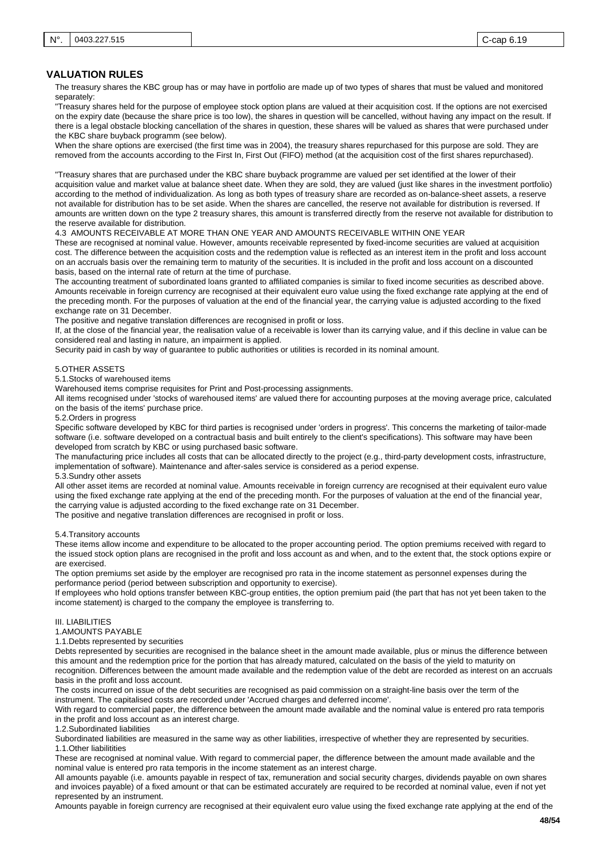The treasury shares the KBC group has or may have in portfolio are made up of two types of shares that must be valued and monitored separately:

"Treasury shares held for the purpose of employee stock option plans are valued at their acquisition cost. If the options are not exercised on the expiry date (because the share price is too low), the shares in question will be cancelled, without having any impact on the result. If there is a legal obstacle blocking cancellation of the shares in question, these shares will be valued as shares that were purchased under the KBC share buyback programm (see below).

When the share options are exercised (the first time was in 2004), the treasury shares repurchased for this purpose are sold. They are removed from the accounts according to the First In, First Out (FIFO) method (at the acquisition cost of the first shares repurchased).

"Treasury shares that are purchased under the KBC share buyback programme are valued per set identified at the lower of their acquisition value and market value at balance sheet date. When they are sold, they are valued (just like shares in the investment portfolio) according to the method of individualization. As long as both types of treasury share are recorded as on-balance-sheet assets, a reserve not available for distribution has to be set aside. When the shares are cancelled, the reserve not available for distribution is reversed. If amounts are written down on the type 2 treasury shares, this amount is transferred directly from the reserve not available for distribution to the reserve available for distribution.

4.3 AMOUNTS RECEIVABLE AT MORE THAN ONE YEAR AND AMOUNTS RECEIVABLE WITHIN ONE YEAR

These are recognised at nominal value. However, amounts receivable represented by fixed-income securities are valued at acquisition cost. The difference between the acquisition costs and the redemption value is reflected as an interest item in the profit and loss account on an accruals basis over the remaining term to maturity of the securities. It is included in the profit and loss account on a discounted basis, based on the internal rate of return at the time of purchase.

The accounting treatment of subordinated loans granted to affiliated companies is similar to fixed income securities as described above. Amounts receivable in foreign currency are recognised at their equivalent euro value using the fixed exchange rate applying at the end of the preceding month. For the purposes of valuation at the end of the financial year, the carrying value is adjusted according to the fixed exchange rate on 31 December.

The positive and negative translation differences are recognised in profit or loss.

If, at the close of the financial year, the realisation value of a receivable is lower than its carrying value, and if this decline in value can be considered real and lasting in nature, an impairment is applied.

Security paid in cash by way of guarantee to public authorities or utilities is recorded in its nominal amount.

#### 5.OTHER ASSETS

5.1.Stocks of warehoused items

Warehoused items comprise requisites for Print and Post-processing assignments.

All items recognised under 'stocks of warehoused items' are valued there for accounting purposes at the moving average price, calculated on the basis of the items' purchase price.

5.2.Orders in progress

Specific software developed by KBC for third parties is recognised under 'orders in progress'. This concerns the marketing of tailor-made software (i.e. software developed on a contractual basis and built entirely to the client's specifications). This software may have been developed from scratch by KBC or using purchased basic software.

The manufacturing price includes all costs that can be allocated directly to the project (e.g., third-party development costs, infrastructure, implementation of software). Maintenance and after-sales service is considered as a period expense.

### 5.3.Sundry other assets

All other asset items are recorded at nominal value. Amounts receivable in foreign currency are recognised at their equivalent euro value using the fixed exchange rate applying at the end of the preceding month. For the purposes of valuation at the end of the financial year, the carrying value is adjusted according to the fixed exchange rate on 31 December.

The positive and negative translation differences are recognised in profit or loss.

#### 5.4.Transitory accounts

These items allow income and expenditure to be allocated to the proper accounting period. The option premiums received with regard to the issued stock option plans are recognised in the profit and loss account as and when, and to the extent that, the stock options expire or are exercised.

The option premiums set aside by the employer are recognised pro rata in the income statement as personnel expenses during the performance period (period between subscription and opportunity to exercise).

If employees who hold options transfer between KBC-group entities, the option premium paid (the part that has not yet been taken to the income statement) is charged to the company the employee is transferring to.

## III. LIABILITIES

1.AMOUNTS PAYABLE

### 1.1.Debts represented by securities

Debts represented by securities are recognised in the balance sheet in the amount made available, plus or minus the difference between this amount and the redemption price for the portion that has already matured, calculated on the basis of the yield to maturity on recognition. Differences between the amount made available and the redemption value of the debt are recorded as interest on an accruals basis in the profit and loss account.

The costs incurred on issue of the debt securities are recognised as paid commission on a straight-line basis over the term of the instrument. The capitalised costs are recorded under 'Accrued charges and deferred income'.

With regard to commercial paper, the difference between the amount made available and the nominal value is entered pro rata temporis in the profit and loss account as an interest charge.

1.2.Subordinated liabilities

Subordinated liabilities are measured in the same way as other liabilities, irrespective of whether they are represented by securities. 1.1.Other liabilitities

These are recognised at nominal value. With regard to commercial paper, the difference between the amount made available and the nominal value is entered pro rata temporis in the income statement as an interest charge.

All amounts payable (i.e. amounts payable in respect of tax, remuneration and social security charges, dividends payable on own shares and invoices payable) of a fixed amount or that can be estimated accurately are required to be recorded at nominal value, even if not yet represented by an instrument.

Amounts payable in foreign currency are recognised at their equivalent euro value using the fixed exchange rate applying at the end of the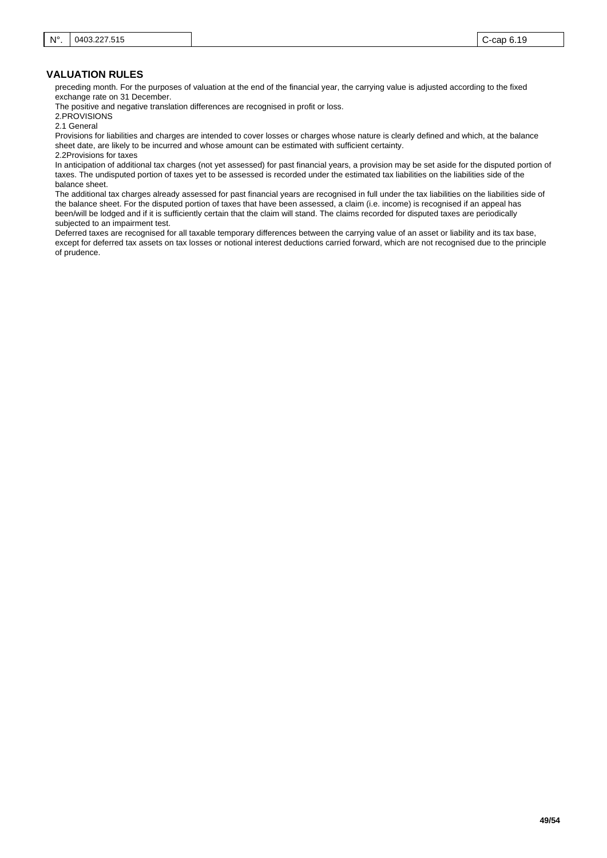preceding month. For the purposes of valuation at the end of the financial year, the carrying value is adjusted according to the fixed exchange rate on 31 December.

The positive and negative translation differences are recognised in profit or loss.

2.PROVISIONS

2.1 General

Provisions for liabilities and charges are intended to cover losses or charges whose nature is clearly defined and which, at the balance sheet date, are likely to be incurred and whose amount can be estimated with sufficient certainty. 2.2Provisions for taxes

In anticipation of additional tax charges (not yet assessed) for past financial years, a provision may be set aside for the disputed portion of taxes. The undisputed portion of taxes yet to be assessed is recorded under the estimated tax liabilities on the liabilities side of the balance sheet.

The additional tax charges already assessed for past financial years are recognised in full under the tax liabilities on the liabilities side of the balance sheet. For the disputed portion of taxes that have been assessed, a claim (i.e. income) is recognised if an appeal has been/will be lodged and if it is sufficiently certain that the claim will stand. The claims recorded for disputed taxes are periodically subjected to an impairment test.

Deferred taxes are recognised for all taxable temporary differences between the carrying value of an asset or liability and its tax base, except for deferred tax assets on tax losses or notional interest deductions carried forward, which are not recognised due to the principle of prudence.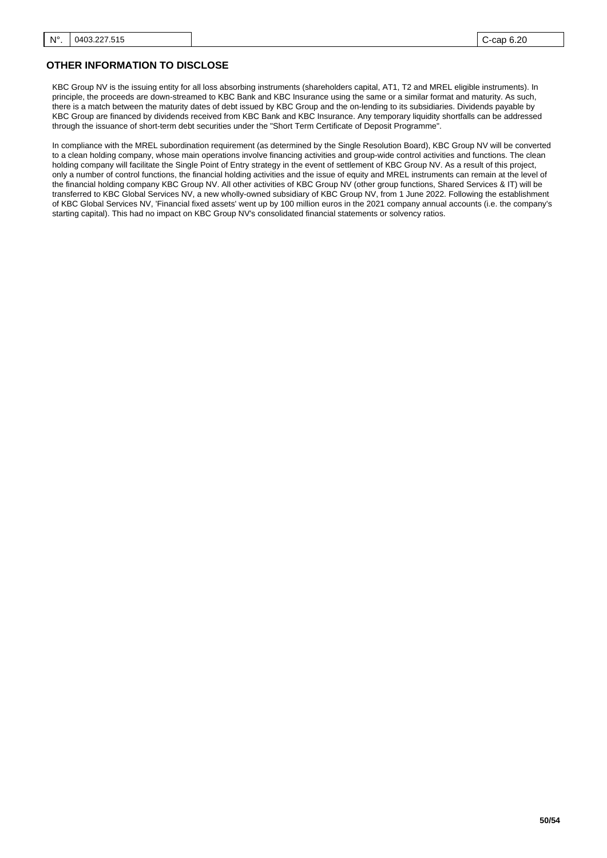# **OTHER INFORMATION TO DISCLOSE**

KBC Group NV is the issuing entity for all loss absorbing instruments (shareholders capital, AT1, T2 and MREL eligible instruments). In principle, the proceeds are down-streamed to KBC Bank and KBC Insurance using the same or a similar format and maturity. As such, there is a match between the maturity dates of debt issued by KBC Group and the on-lending to its subsidiaries. Dividends payable by KBC Group are financed by dividends received from KBC Bank and KBC Insurance. Any temporary liquidity shortfalls can be addressed through the issuance of short-term debt securities under the "Short Term Certificate of Deposit Programme".

In compliance with the MREL subordination requirement (as determined by the Single Resolution Board), KBC Group NV will be converted to a clean holding company, whose main operations involve financing activities and group-wide control activities and functions. The clean holding company will facilitate the Single Point of Entry strategy in the event of settlement of KBC Group NV. As a result of this project, only a number of control functions, the financial holding activities and the issue of equity and MREL instruments can remain at the level of the financial holding company KBC Group NV. All other activities of KBC Group NV (other group functions, Shared Services & IT) will be transferred to KBC Global Services NV, a new wholly-owned subsidiary of KBC Group NV, from 1 June 2022. Following the establishment of KBC Global Services NV, 'Financial fixed assets' went up by 100 million euros in the 2021 company annual accounts (i.e. the company's starting capital). This had no impact on KBC Group NV's consolidated financial statements or solvency ratios.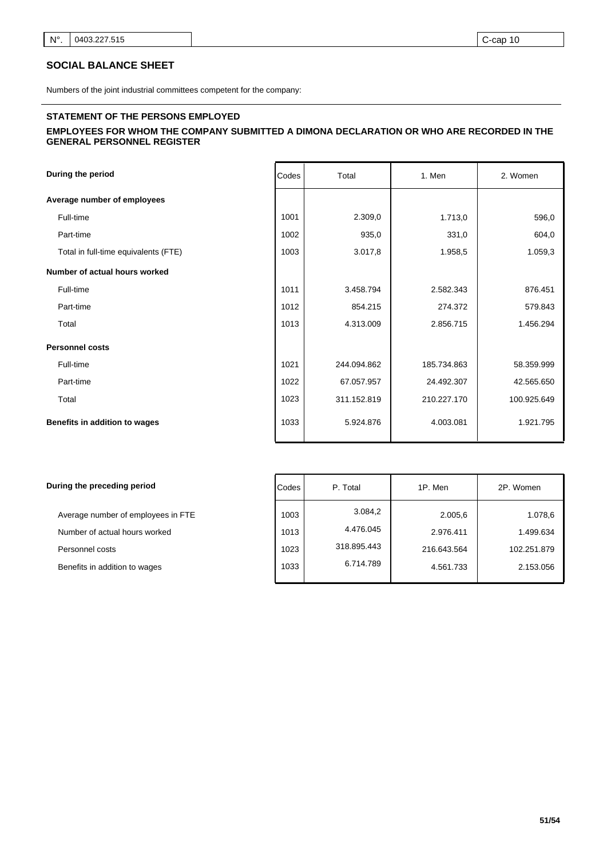# **SOCIAL BALANCE SHEET**

Numbers of the joint industrial committees competent for the company:

### **STATEMENT OF THE PERSONS EMPLOYED**

## **EMPLOYEES FOR WHOM THE COMPANY SUBMITTED A DIMONA DECLARATION OR WHO ARE RECORDED IN THE GENERAL PERSONNEL REGISTER**

| During the period                    | Codes | Total       | 1. Men      | 2. Women    |
|--------------------------------------|-------|-------------|-------------|-------------|
| Average number of employees          |       |             |             |             |
| Full-time                            | 1001  | 2.309,0     | 1.713,0     | 596,0       |
| Part-time                            | 1002  | 935,0       | 331,0       | 604,0       |
| Total in full-time equivalents (FTE) | 1003  | 3.017,8     | 1.958,5     | 1.059,3     |
| Number of actual hours worked        |       |             |             |             |
| Full-time                            | 1011  | 3.458.794   | 2.582.343   | 876.451     |
| Part-time                            | 1012  | 854.215     | 274.372     | 579.843     |
| Total                                | 1013  | 4.313.009   | 2.856.715   | 1.456.294   |
| <b>Personnel costs</b>               |       |             |             |             |
| Full-time                            | 1021  | 244.094.862 | 185.734.863 | 58.359.999  |
| Part-time                            | 1022  | 67.057.957  | 24.492.307  | 42.565.650  |
| Total                                | 1023  | 311.152.819 | 210.227.170 | 100.925.649 |
| Benefits in addition to wages        | 1033  | 5.924.876   | 4.003.081   | 1.921.795   |

| During the preceding period                                                                                             | Codes                        | P. Total                                         | 1P. Men                                          | 2P. Women                                        |
|-------------------------------------------------------------------------------------------------------------------------|------------------------------|--------------------------------------------------|--------------------------------------------------|--------------------------------------------------|
| Average number of employees in FTE<br>Number of actual hours worked<br>Personnel costs<br>Benefits in addition to wages | 1003<br>1013<br>1023<br>1033 | 3.084,2<br>4.476.045<br>318.895.443<br>6.714.789 | 2.005,6<br>2.976.411<br>216.643.564<br>4.561.733 | 1.078,6<br>1.499.634<br>102.251.879<br>2.153.056 |
|                                                                                                                         |                              |                                                  |                                                  |                                                  |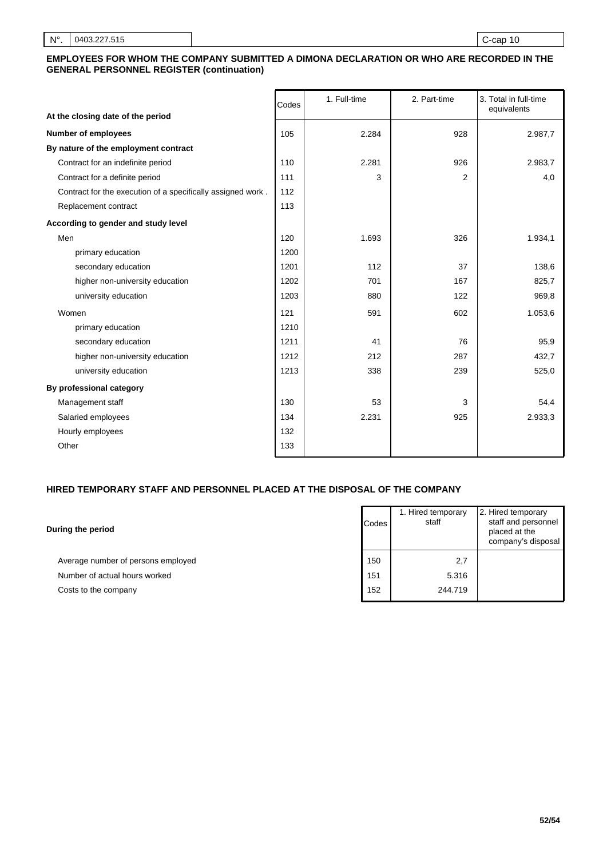## **EMPLOYEES FOR WHOM THE COMPANY SUBMITTED A DIMONA DECLARATION OR WHO ARE RECORDED IN THE GENERAL PERSONNEL REGISTER (continuation)**

|                                                             | Codes | 1. Full-time | 2. Part-time   | 3. Total in full-time<br>equivalents |
|-------------------------------------------------------------|-------|--------------|----------------|--------------------------------------|
| At the closing date of the period                           |       |              |                |                                      |
| <b>Number of employees</b>                                  | 105   | 2.284        | 928            | 2.987,7                              |
| By nature of the employment contract                        |       |              |                |                                      |
| Contract for an indefinite period                           | 110   | 2.281        | 926            | 2.983,7                              |
| Contract for a definite period                              | 111   | 3            | $\overline{2}$ | 4,0                                  |
| Contract for the execution of a specifically assigned work. | 112   |              |                |                                      |
| Replacement contract                                        | 113   |              |                |                                      |
| According to gender and study level                         |       |              |                |                                      |
| Men                                                         | 120   | 1.693        | 326            | 1.934,1                              |
| primary education                                           | 1200  |              |                |                                      |
| secondary education                                         | 1201  | 112          | 37             | 138,6                                |
| higher non-university education                             | 1202  | 701          | 167            | 825,7                                |
| university education                                        | 1203  | 880          | 122            | 969,8                                |
| Women                                                       | 121   | 591          | 602            | 1.053,6                              |
| primary education                                           | 1210  |              |                |                                      |
| secondary education                                         | 1211  | 41           | 76             | 95,9                                 |
| higher non-university education                             | 1212  | 212          | 287            | 432,7                                |
| university education                                        | 1213  | 338          | 239            | 525,0                                |
| By professional category                                    |       |              |                |                                      |
| Management staff                                            | 130   | 53           | 3              | 54,4                                 |
| Salaried employees                                          | 134   | 2.231        | 925            | 2.933,3                              |
| Hourly employees                                            | 132   |              |                |                                      |
| Other                                                       | 133   |              |                |                                      |

# **HIRED TEMPORARY STAFF AND PERSONNEL PLACED AT THE DISPOSAL OF THE COMPANY**

| During the period                  |
|------------------------------------|
| Average number of persons employed |
| Number of actual hours worked      |
| Costs to the company               |

| Codes | 1. Hired temporary<br>staff | 2. Hired temporary<br>staff and personnel<br>placed at the<br>company's disposal |
|-------|-----------------------------|----------------------------------------------------------------------------------|
| 150   | 2,7                         |                                                                                  |
| 151   | 5.316                       |                                                                                  |
| 152   | 244.719                     |                                                                                  |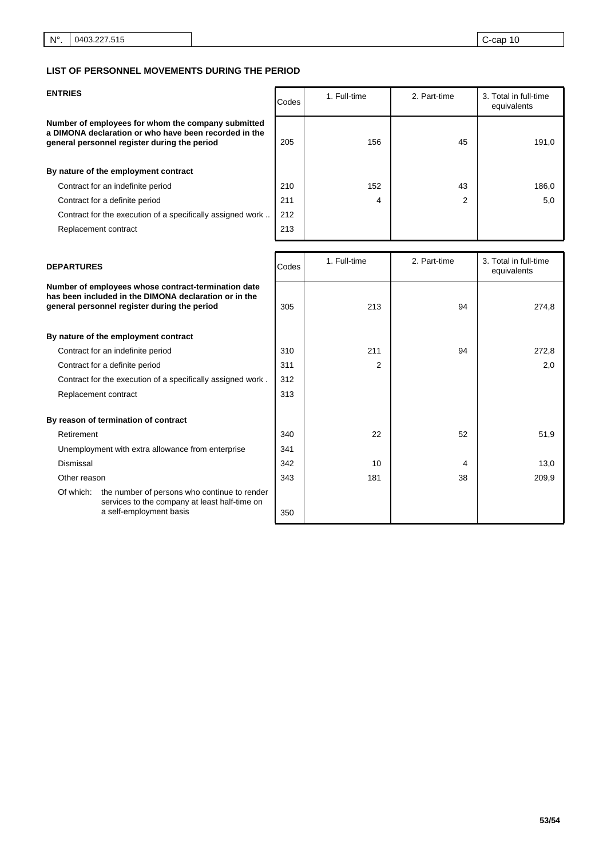| <b>ENTRIES</b>                                                                                                                                              | Codes | 1. Full-time | 2. Part-time | 3. Total in full-time<br>equivalents |
|-------------------------------------------------------------------------------------------------------------------------------------------------------------|-------|--------------|--------------|--------------------------------------|
| Number of employees for whom the company submitted<br>a DIMONA declaration or who have been recorded in the<br>general personnel register during the period | 205   | 156          | 45           | 191,0                                |
| By nature of the employment contract                                                                                                                        |       |              |              |                                      |
| Contract for an indefinite period                                                                                                                           | 210   | 152          | 43           | 186,0                                |
| Contract for a definite period                                                                                                                              | 211   | 4            | 2            | 5,0                                  |
| Contract for the execution of a specifically assigned work                                                                                                  | 212   |              |              |                                      |
| Replacement contract                                                                                                                                        | 213   |              |              |                                      |
|                                                                                                                                                             |       |              |              |                                      |

| <b>DEPARTURES</b>                                                                                                                                            |                                                                                                                          | Codes | 1. Full-time   | 2. Part-time | 3. Total in full-time<br>equivalents |
|--------------------------------------------------------------------------------------------------------------------------------------------------------------|--------------------------------------------------------------------------------------------------------------------------|-------|----------------|--------------|--------------------------------------|
| Number of employees whose contract-termination date<br>has been included in the DIMONA declaration or in the<br>general personnel register during the period |                                                                                                                          | 305   | 213            | 94           | 274,8                                |
| By nature of the employment contract                                                                                                                         |                                                                                                                          |       |                |              |                                      |
| Contract for an indefinite period                                                                                                                            |                                                                                                                          | 310   | 211            | 94           | 272,8                                |
| Contract for a definite period                                                                                                                               |                                                                                                                          | 311   | $\overline{2}$ |              | 2,0                                  |
| Contract for the execution of a specifically assigned work.                                                                                                  |                                                                                                                          | 312   |                |              |                                      |
| Replacement contract                                                                                                                                         |                                                                                                                          | 313   |                |              |                                      |
| By reason of termination of contract                                                                                                                         |                                                                                                                          |       |                |              |                                      |
| Retirement                                                                                                                                                   |                                                                                                                          | 340   | 22             | 52           | 51,9                                 |
| Unemployment with extra allowance from enterprise                                                                                                            |                                                                                                                          | 341   |                |              |                                      |
| Dismissal                                                                                                                                                    |                                                                                                                          | 342   | 10             | 4            | 13,0                                 |
| Other reason                                                                                                                                                 |                                                                                                                          | 343   | 181            | 38           | 209,9                                |
| Of which:                                                                                                                                                    | the number of persons who continue to render<br>services to the company at least half-time on<br>a self-employment basis | 350   |                |              |                                      |